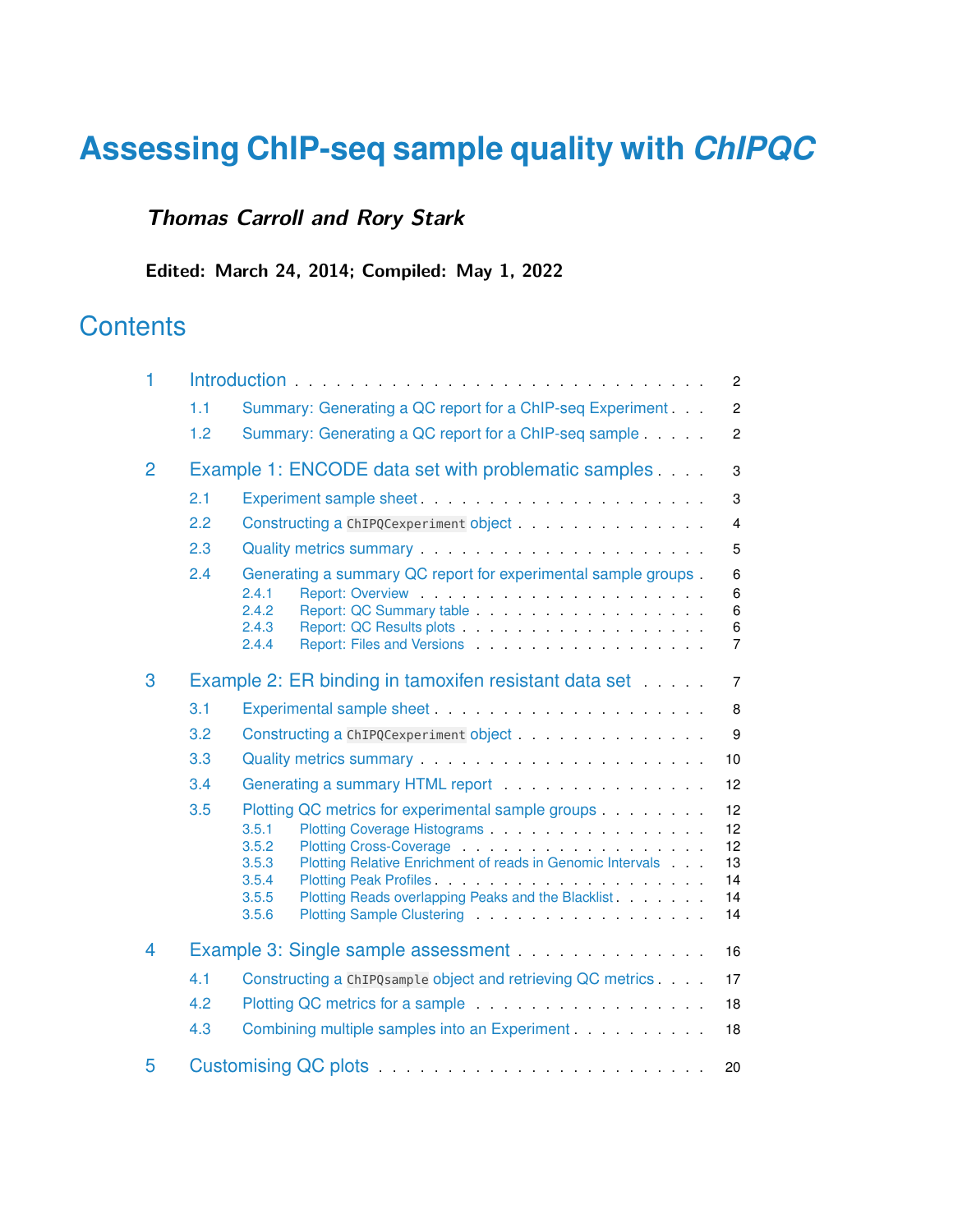# **Assessing ChIP-seq sample quality with** *[ChIPQC](http://bioconductor.org/packages/ChIPQC)*

## **Thomas Carroll and Rory Stark**

**Edited: March 24, 2014; Compiled: May 1, 2022**

# **Contents**

| 1              |     |                                                                                                                                                                                                                                                                                                                                      |                                        |  |  |  |  |  |  |
|----------------|-----|--------------------------------------------------------------------------------------------------------------------------------------------------------------------------------------------------------------------------------------------------------------------------------------------------------------------------------------|----------------------------------------|--|--|--|--|--|--|
|                | 1.1 | Summary: Generating a QC report for a ChIP-seq Experiment.                                                                                                                                                                                                                                                                           | $\overline{c}$                         |  |  |  |  |  |  |
|                | 1.2 | Summary: Generating a QC report for a ChIP-seq sample                                                                                                                                                                                                                                                                                | $\overline{2}$                         |  |  |  |  |  |  |
| 2              |     | Example 1: ENCODE data set with problematic samples                                                                                                                                                                                                                                                                                  | $\,3$                                  |  |  |  |  |  |  |
|                | 2.1 |                                                                                                                                                                                                                                                                                                                                      | $\mathsf 3$                            |  |  |  |  |  |  |
|                | 2.2 |                                                                                                                                                                                                                                                                                                                                      | $\overline{4}$                         |  |  |  |  |  |  |
|                | 2.3 |                                                                                                                                                                                                                                                                                                                                      | 5                                      |  |  |  |  |  |  |
|                | 2.4 | Generating a summary QC report for experimental sample groups.<br>2.4.1<br>2.4.2<br>2.4.3<br>Report: Files and Versions entries and the series of the series of the series of the series of the series of the series of the series of the series of the series of the series of the series of the series of the series of t<br>2.4.4 | 6<br>6<br>6<br>6<br>$\overline{7}$     |  |  |  |  |  |  |
| 3              |     | Example 2: ER binding in tamoxifen resistant data set                                                                                                                                                                                                                                                                                | $\overline{7}$                         |  |  |  |  |  |  |
|                | 3.1 |                                                                                                                                                                                                                                                                                                                                      | $\,8\,$                                |  |  |  |  |  |  |
|                | 3.2 |                                                                                                                                                                                                                                                                                                                                      | 9                                      |  |  |  |  |  |  |
|                | 3.3 |                                                                                                                                                                                                                                                                                                                                      | 10                                     |  |  |  |  |  |  |
|                | 3.4 | Generating a summary HTML report <b>contract of the summary HTML</b> report                                                                                                                                                                                                                                                          | 12                                     |  |  |  |  |  |  |
|                | 3.5 | Plotting QC metrics for experimental sample groups<br>3.5.1<br>3.5.2<br>Plotting Relative Enrichment of reads in Genomic Intervals<br>3.5.3<br>3.5.4<br>3.5.5<br>Plotting Reads overlapping Peaks and the Blacklist<br>3.5.6                                                                                                         | 12<br>12<br>12<br>13<br>14<br>14<br>14 |  |  |  |  |  |  |
| $\overline{4}$ |     | Example 3: Single sample assessment                                                                                                                                                                                                                                                                                                  | 16                                     |  |  |  |  |  |  |
|                | 4.1 | Constructing a ChIPQsample object and retrieving QC metrics.                                                                                                                                                                                                                                                                         | 17                                     |  |  |  |  |  |  |
|                | 4.2 | Plotting QC metrics for a sample entitled and a sample of the state of the state of the state of the state of the state of the state of the state of the state of the state of the state of the state of the state of the stat                                                                                                       | 18                                     |  |  |  |  |  |  |
|                | 4.3 | Combining multiple samples into an Experiment.                                                                                                                                                                                                                                                                                       | 18                                     |  |  |  |  |  |  |
| 5              |     | 20                                                                                                                                                                                                                                                                                                                                   |                                        |  |  |  |  |  |  |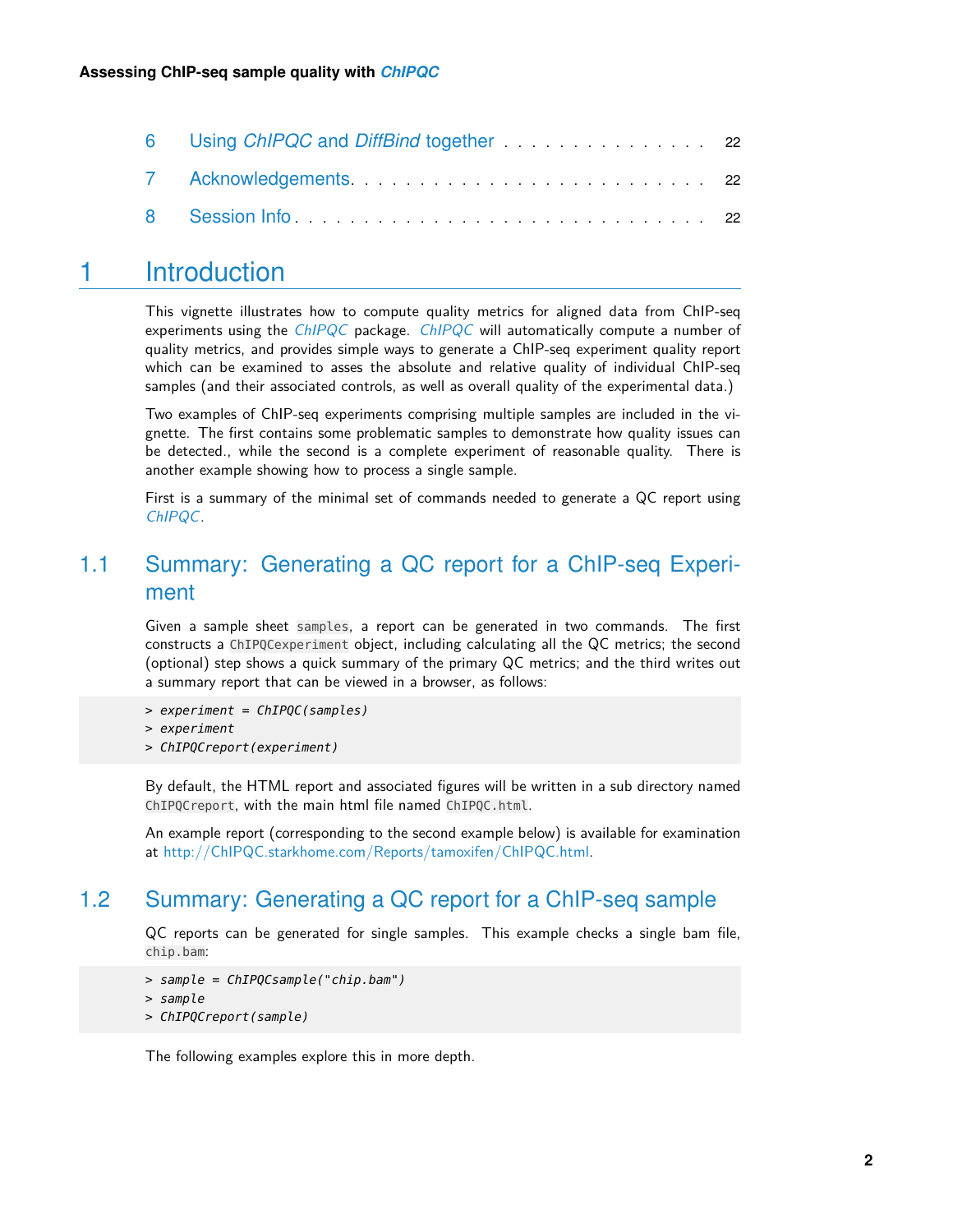| 6 Using ChIPQC and DiffBind together Manuscript 22                                                                                                                                                                             |  |
|--------------------------------------------------------------------------------------------------------------------------------------------------------------------------------------------------------------------------------|--|
|                                                                                                                                                                                                                                |  |
| 8 Session Information and the Session of The Community of the Community of the Session and the Community of the Session of the Session and the Session of the Session of the Session of the Session and Session and Session an |  |

## <span id="page-1-0"></span>1 Introduction

This vignette illustrates how to compute quality metrics for aligned data from ChIP-seq experiments using the  $ChIPQC$  package. ChIPQC will automatically compute a number of quality metrics, and provides simple ways to generate a ChIP-seq experiment quality report which can be examined to asses the absolute and relative quality of individual ChIP-seq samples (and their associated controls, as well as overall quality of the experimental data.)

Two examples of ChIP-seq experiments comprising multiple samples are included in the vignette. The first contains some problematic samples to demonstrate how quality issues can be detected., while the second is a complete experiment of reasonable quality. There is another example showing how to process a single sample.

<span id="page-1-1"></span>First is a summary of the minimal set of commands needed to generate a QC report using [ChIPQC](http://bioconductor.org/packages/ChIPQC).

## 1.1 Summary: Generating a QC report for a ChIP-seq Experiment

Given a sample sheet samples, a report can be generated in two commands. The first constructs a ChIPQCexperiment object, including calculating all the QC metrics; the second (optional) step shows a quick summary of the primary QC metrics; and the third writes out a summary report that can be viewed in a browser, as follows:

- > experiment = ChIPQC(samples)
- > experiment
- > ChIPQCreport(experiment)

By default, the HTML report and associated figures will be written in a sub directory named ChIPQCreport, with the main html file named ChIPQC.html.

<span id="page-1-2"></span>An example report (corresponding to the second example below) is available for examination at [http://ChIPQC.starkhome.com/Reports/tamoxifen/ChIPQC.html.](http://ChIPQC.starkhome.com/Reports/tamoxifen/ChIPQC.html)

### 1.2 Summary: Generating a QC report for a ChIP-seq sample

QC reports can be generated for single samples. This example checks a single bam file, chip.bam:

```
> sample = ChIPQCsample("chip.bam")
```

```
> sample
```
> ChIPQCreport(sample)

<span id="page-1-3"></span>The following examples explore this in more depth.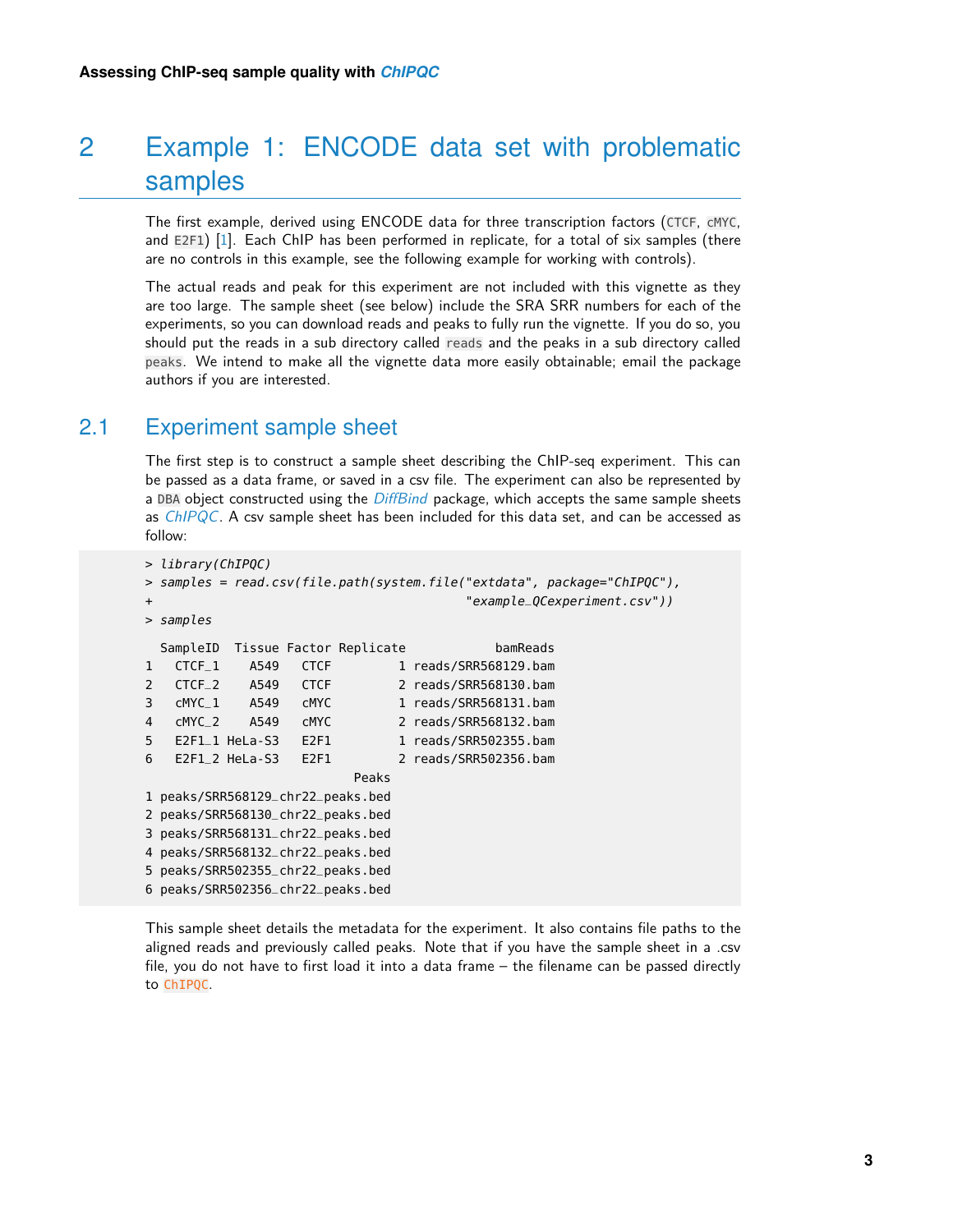# 2 Example 1: ENCODE data set with problematic samples

The first example, derived using ENCODE data for three transcription factors (CTCF, cMYC, and E2F1) [\[1\]](#page-22-0). Each ChIP has been performed in replicate, for a total of six samples (there are no controls in this example, see the following example for working with controls).

The actual reads and peak for this experiment are not included with this vignette as they are too large. The sample sheet (see below) include the SRA SRR numbers for each of the experiments, so you can download reads and peaks to fully run the vignette. If you do so, you should put the reads in a sub directory called reads and the peaks in a sub directory called peaks. We intend to make all the vignette data more easily obtainable; email the package authors if you are interested.

### 2.1 Experiment sample sheet

<span id="page-2-0"></span>The first step is to construct a sample sheet describing the ChIP-seq experiment. This can be passed as a data frame, or saved in a csv file. The experiment can also be represented by a DBA object constructed using the *[DiffBind](http://bioconductor.org/packages/DiffBind)* package, which accepts the same sample sheets as  $ChIPQC$ . A csv sample sheet has been included for this data set, and can be accessed as follow:

```
> library(ChIPQC)
> samples = read.csv(file.path(system.file("extdata", package="ChIPQC"),
+ "example_QCexperiment.csv"))
> samples
 SampleID Tissue Factor Replicate bamReads
1 CTCF_1 A549 CTCF 1 reads/SRR568129.bam
2 CTCF<sub>-2</sub> A549 CTCF 2 reads/SRR568130.bam
3 cMYC_1 A549 cMYC 1 reads/SRR568131.bam
4 cMYC_2 A549 cMYC 2 reads/SRR568132.bam
5 E2F1_1 HeLa-S3 E2F1 1 reads/SRR502355.bam
6 E2F1_2 HeLa-S3 E2F1 2 reads/SRR502356.bam
                       Peaks
1 peaks/SRR568129_chr22_peaks.bed
2 peaks/SRR568130_chr22_peaks.bed
3 peaks/SRR568131_chr22_peaks.bed
4 peaks/SRR568132_chr22_peaks.bed
5 peaks/SRR502355_chr22_peaks.bed
6 peaks/SRR502356_chr22_peaks.bed
```
<span id="page-2-1"></span>This sample sheet details the metadata for the experiment. It also contains file paths to the aligned reads and previously called peaks. Note that if you have the sample sheet in a .csv file, you do not have to first load it into a data frame – the filename can be passed directly to ChIPQC.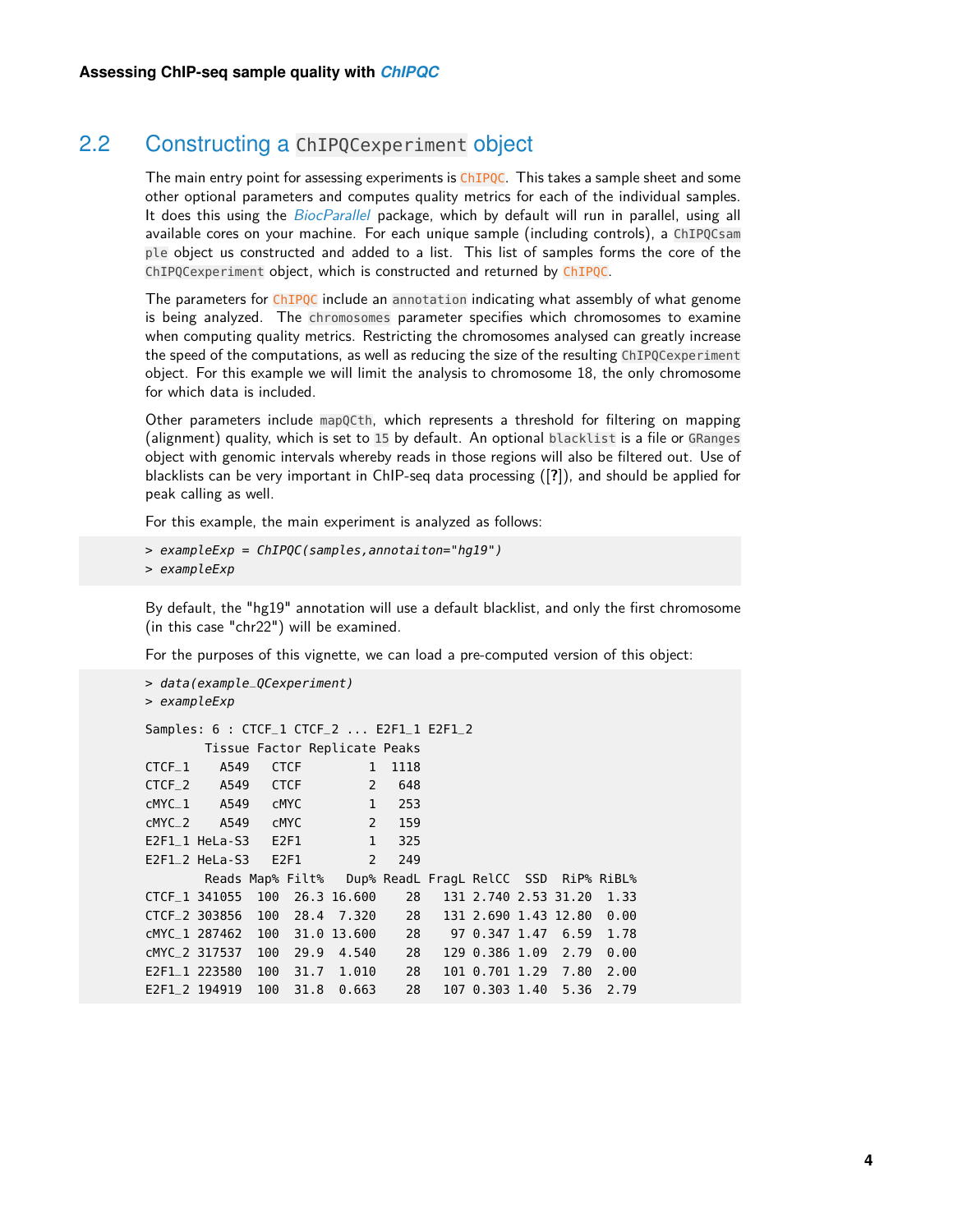## 2.2 Constructing a ChIPQCexperiment object

The main entry point for assessing experiments is ChIPQC. This takes a sample sheet and some other optional parameters and computes quality metrics for each of the individual samples. It does this using the *[BiocParallel](http://bioconductor.org/packages/BiocParallel)* package, which by default will run in parallel, using all available cores on your machine. For each unique sample (including controls), a ChIPQCsam ple object us constructed and added to a list. This list of samples forms the core of the ChIPQCexperiment object, which is constructed and returned by ChIPQC.

The parameters for ChIPQC include an annotation indicating what assembly of what genome is being analyzed. The chromosomes parameter specifies which chromosomes to examine when computing quality metrics. Restricting the chromosomes analysed can greatly increase the speed of the computations, as well as reducing the size of the resulting ChIPQCexperiment object. For this example we will limit the analysis to chromosome 18, the only chromosome for which data is included.

Other parameters include mapQCth, which represents a threshold for filtering on mapping (alignment) quality, which is set to 15 by default. An optional blacklist is a file or GRanges object with genomic intervals whereby reads in those regions will also be filtered out. Use of blacklists can be very important in ChIP-seq data processing ([**?**]), and should be applied for peak calling as well.

For this example, the main experiment is analyzed as follows:

```
> exampleExp = ChIPQC(samples,annotaiton="hg19")
```

```
> exampleExp
```
By default, the "hg19" annotation will use a default blacklist, and only the first chromosome (in this case "chr22") will be examined.

For the purposes of this vignette, we can load a pre-computed version of this object:

```
> data(example_QCexperiment)
> exampleExp
Samples: 6 : CTCF_1 CTCF_2 ... E2F1_1 E2F1_2
      Tissue Factor Replicate Peaks
CTCF_1 A549 CTCF 1 1118
CTCF_2 A549 CTCF 2 648
cMYC_1 A549 cMYC 1 253
cMYC_2 A549 cMYC 2 159
E2F1_1 HeLa-S3 E2F1 1 325
E2F1_2 HeLa-S3 E2F1 2 249
      Reads Map% Filt% Dup% ReadL FragL RelCC SSD RiP% RiBL%
CTCF_1 341055 100 26.3 16.600 28 131 2.740 2.53 31.20 1.33
CTCF_2 303856 100 28.4 7.320 28 131 2.690 1.43 12.80 0.00
cMYC_1 287462 100 31.0 13.600 28 97 0.347 1.47 6.59 1.78
cMYC_2 317537 100 29.9 4.540 28 129 0.386 1.09 2.79 0.00
E2F1_1 223580 100 31.7 1.010 28 101 0.701 1.29 7.80 2.00
E2F1_2 194919 100 31.8 0.663 28 107 0.303 1.40 5.36 2.79
```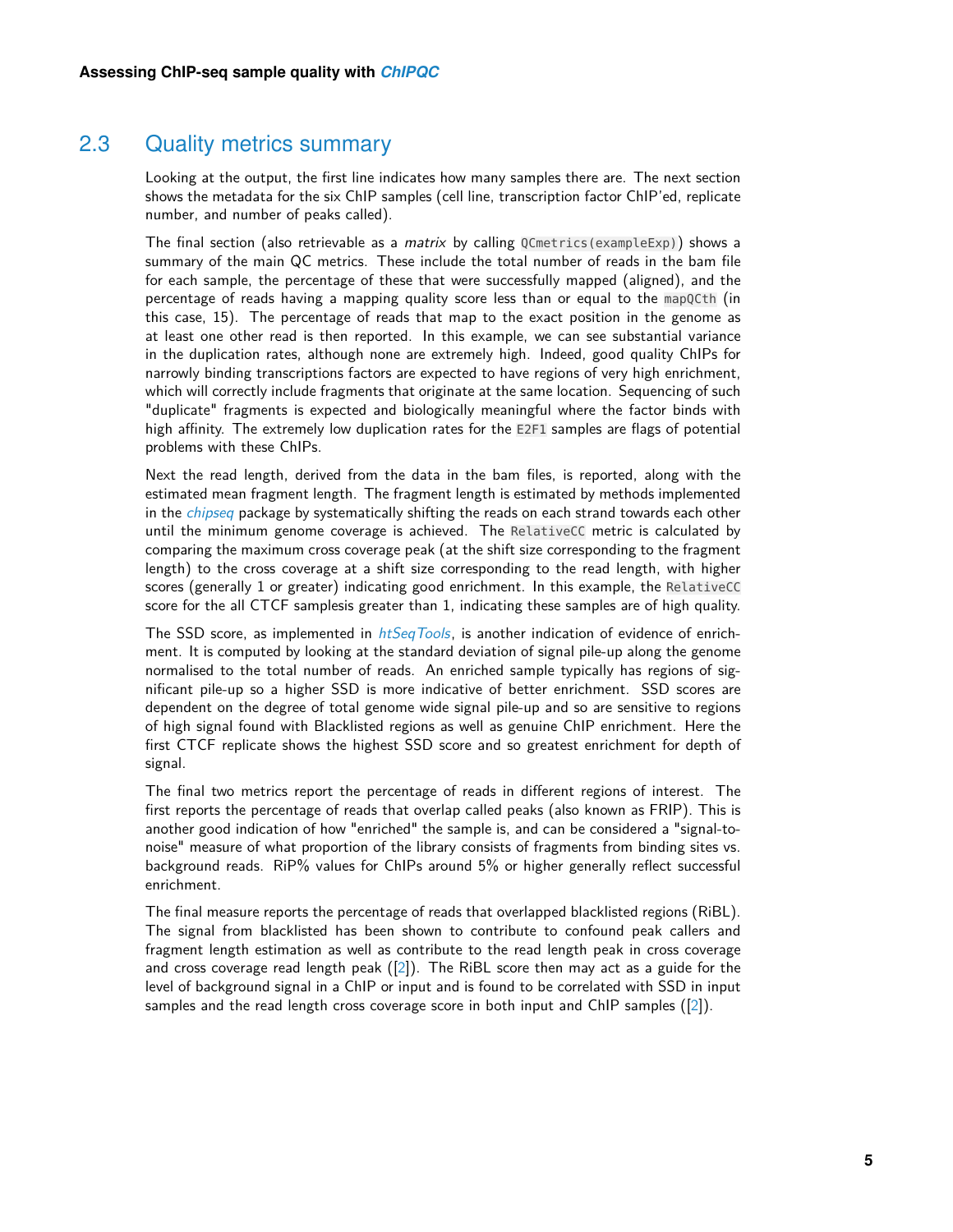## 2.3 Quality metrics summary

Looking at the output, the first line indicates how many samples there are. The next section shows the metadata for the six ChIP samples (cell line, transcription factor ChIP'ed, replicate number, and number of peaks called).

The final section (also retrievable as a *matrix* by calling  $0$ Cmetrics(exampleExp)) shows a summary of the main QC metrics. These include the total number of reads in the bam file for each sample, the percentage of these that were successfully mapped (aligned), and the percentage of reads having a mapping quality score less than or equal to the mapQCth (in this case, 15). The percentage of reads that map to the exact position in the genome as at least one other read is then reported. In this example, we can see substantial variance in the duplication rates, although none are extremely high. Indeed, good quality ChIPs for narrowly binding transcriptions factors are expected to have regions of very high enrichment, which will correctly include fragments that originate at the same location. Sequencing of such "duplicate" fragments is expected and biologically meaningful where the factor binds with high affinity. The extremely low duplication rates for the E2F1 samples are flags of potential problems with these ChIPs.

Next the read length, derived from the data in the bam files, is reported, along with the estimated mean fragment length. The fragment length is estimated by methods implemented in the *[chipseq](http://bioconductor.org/packages/chipseq)* package by systematically shifting the reads on each strand towards each other until the minimum genome coverage is achieved. The RelativeCC metric is calculated by comparing the maximum cross coverage peak (at the shift size corresponding to the fragment length) to the cross coverage at a shift size corresponding to the read length, with higher scores (generally 1 or greater) indicating good enrichment. In this example, the RelativeCC score for the all CTCF samplesis greater than 1, indicating these samples are of high quality.

The SSD score, as implemented in  $htSeqTools$ , is another indication of evidence of enrichment. It is computed by looking at the standard deviation of signal pile-up along the genome normalised to the total number of reads. An enriched sample typically has regions of significant pile-up so a higher SSD is more indicative of better enrichment. SSD scores are dependent on the degree of total genome wide signal pile-up and so are sensitive to regions of high signal found with Blacklisted regions as well as genuine ChIP enrichment. Here the first CTCF replicate shows the highest SSD score and so greatest enrichment for depth of signal.

The final two metrics report the percentage of reads in different regions of interest. The first reports the percentage of reads that overlap called peaks (also known as FRIP). This is another good indication of how "enriched" the sample is, and can be considered a "signal-tonoise" measure of what proportion of the library consists of fragments from binding sites vs. background reads. RiP% values for ChIPs around 5% or higher generally reflect successful enrichment.

<span id="page-4-0"></span>The final measure reports the percentage of reads that overlapped blacklisted regions (RiBL). The signal from blacklisted has been shown to contribute to confound peak callers and fragment length estimation as well as contribute to the read length peak in cross coverage and cross coverage read length peak  $([2])$  $([2])$  $([2])$ . The RiBL score then may act as a guide for the level of background signal in a ChIP or input and is found to be correlated with SSD in input samples and the read length cross coverage score in both input and ChIP samples ([\[2\]](#page-22-1)).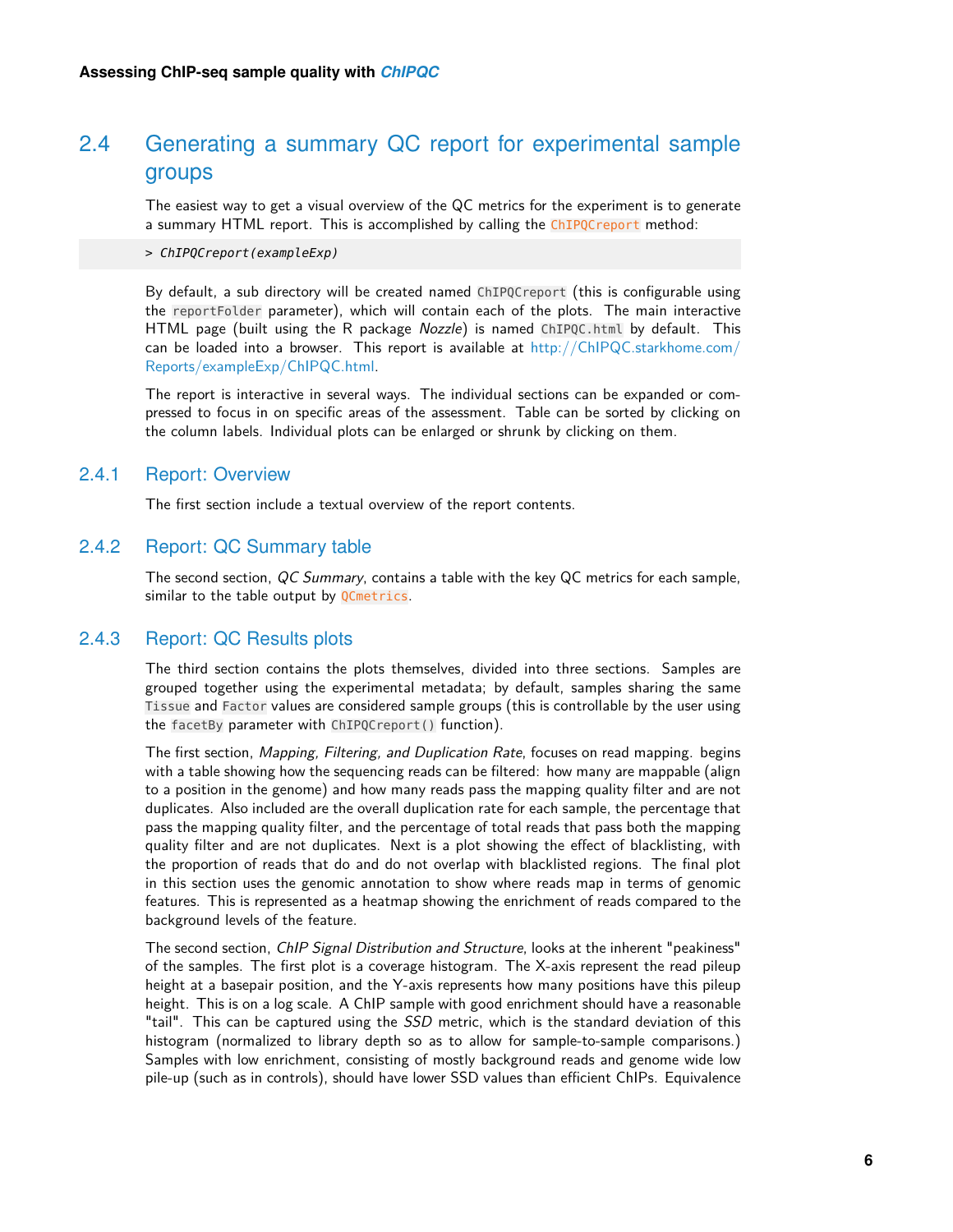## 2.4 Generating a summary QC report for experimental sample groups

The easiest way to get a visual overview of the QC metrics for the experiment is to generate a summary HTML report. This is accomplished by calling the ChIPQCreport method:

> ChIPQCreport(exampleExp)

By default, a sub directory will be created named ChIPQCreport (this is configurable using the reportFolder parameter), which will contain each of the plots. The main interactive HTML page (built using the R package Nozzle) is named ChIPQC.html by default. This can be loaded into a browser. This report is available at  $http://ChIPQC.starkhome.com/$ [Reports/exampleExp/ChIPQC.html.](http://ChIPQC.starkhome.com/Reports/exampleExp/ChIPQC.html)

<span id="page-5-0"></span>The report is interactive in several ways. The individual sections can be expanded or compressed to focus in on specific areas of the assessment. Table can be sorted by clicking on the column labels. Individual plots can be enlarged or shrunk by clicking on them.

#### 2.4.1 Report: Overview

<span id="page-5-1"></span>The first section include a textual overview of the report contents.

#### 2.4.2 Report: QC Summary table

<span id="page-5-2"></span>The second section, QC Summary, contains a table with the key QC metrics for each sample, similar to the table output by QCmetrics.

#### 2.4.3 Report: QC Results plots

The third section contains the plots themselves, divided into three sections. Samples are grouped together using the experimental metadata; by default, samples sharing the same Tissue and Factor values are considered sample groups (this is controllable by the user using the facetBy parameter with ChIPQCreport() function).

The first section, Mapping, Filtering, and Duplication Rate, focuses on read mapping. begins with a table showing how the sequencing reads can be filtered: how many are mappable (align to a position in the genome) and how many reads pass the mapping quality filter and are not duplicates. Also included are the overall duplication rate for each sample, the percentage that pass the mapping quality filter, and the percentage of total reads that pass both the mapping quality filter and are not duplicates. Next is a plot showing the effect of blacklisting, with the proportion of reads that do and do not overlap with blacklisted regions. The final plot in this section uses the genomic annotation to show where reads map in terms of genomic features. This is represented as a heatmap showing the enrichment of reads compared to the background levels of the feature.

The second section, *ChIP Signal Distribution and Structure*, looks at the inherent "peakiness" of the samples. The first plot is a coverage histogram. The X-axis represent the read pileup height at a basepair position, and the Y-axis represents how many positions have this pileup height. This is on a log scale. A ChIP sample with good enrichment should have a reasonable "tail". This can be captured using the *SSD* metric, which is the standard deviation of this histogram (normalized to library depth so as to allow for sample-to-sample comparisons.) Samples with low enrichment, consisting of mostly background reads and genome wide low pile-up (such as in controls), should have lower SSD values than efficient ChIPs. Equivalence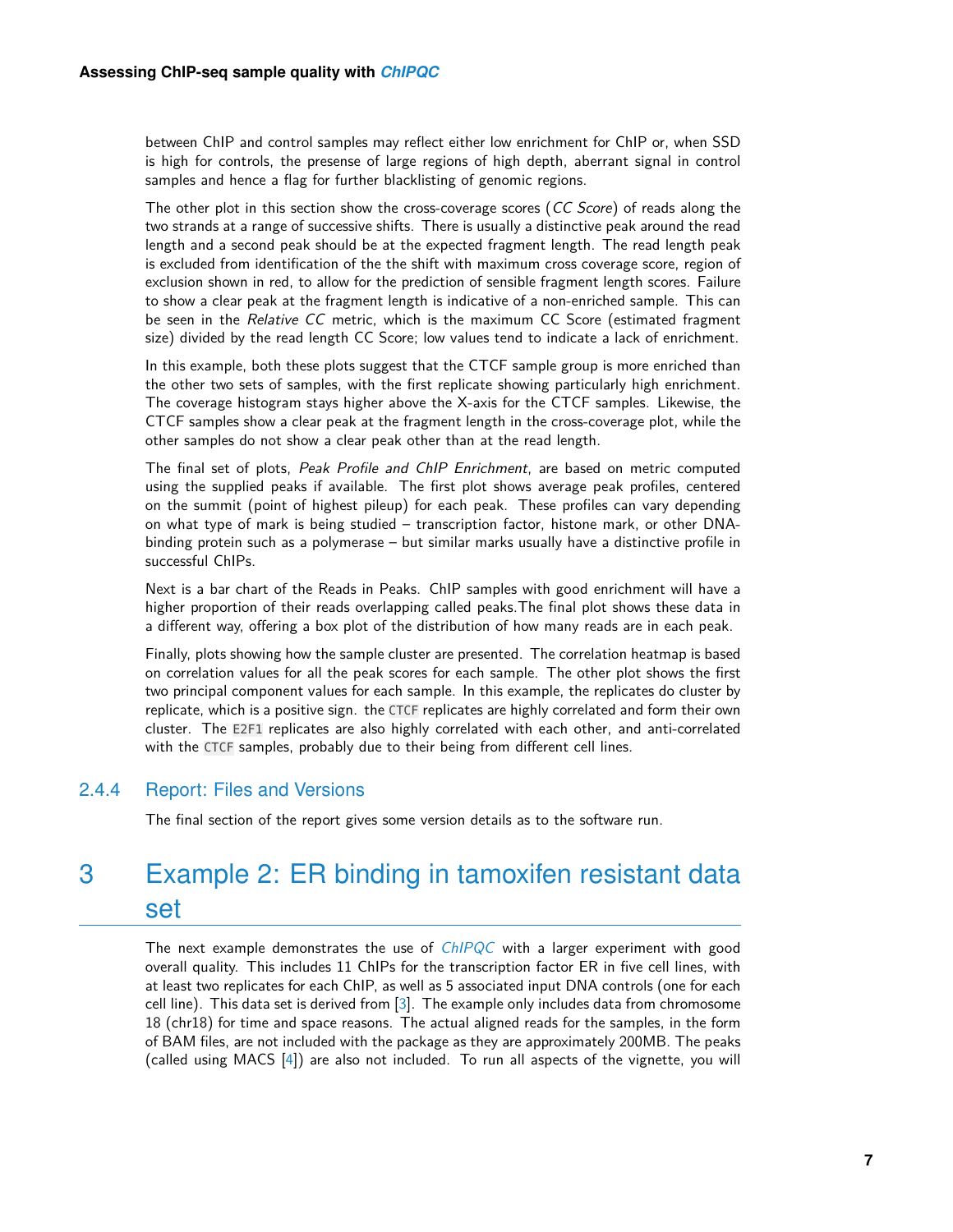between ChIP and control samples may reflect either low enrichment for ChIP or, when SSD is high for controls, the presense of large regions of high depth, aberrant signal in control samples and hence a flag for further blacklisting of genomic regions.

The other plot in this section show the cross-coverage scores (CC Score) of reads along the two strands at a range of successive shifts. There is usually a distinctive peak around the read length and a second peak should be at the expected fragment length. The read length peak is excluded from identification of the the shift with maximum cross coverage score, region of exclusion shown in red, to allow for the prediction of sensible fragment length scores. Failure to show a clear peak at the fragment length is indicative of a non-enriched sample. This can be seen in the Relative CC metric, which is the maximum CC Score (estimated fragment size) divided by the read length CC Score; low values tend to indicate a lack of enrichment.

In this example, both these plots suggest that the CTCF sample group is more enriched than the other two sets of samples, with the first replicate showing particularly high enrichment. The coverage histogram stays higher above the X-axis for the CTCF samples. Likewise, the CTCF samples show a clear peak at the fragment length in the cross-coverage plot, while the other samples do not show a clear peak other than at the read length.

The final set of plots, Peak Profile and ChIP Enrichment, are based on metric computed using the supplied peaks if available. The first plot shows average peak profiles, centered on the summit (point of highest pileup) for each peak. These profiles can vary depending on what type of mark is being studied – transcription factor, histone mark, or other DNAbinding protein such as a polymerase – but similar marks usually have a distinctive profile in successful ChIPs.

Next is a bar chart of the Reads in Peaks. ChIP samples with good enrichment will have a higher proportion of their reads overlapping called peaks.The final plot shows these data in a different way, offering a box plot of the distribution of how many reads are in each peak.

Finally, plots showing how the sample cluster are presented. The correlation heatmap is based on correlation values for all the peak scores for each sample. The other plot shows the first two principal component values for each sample. In this example, the replicates do cluster by replicate, which is a positive sign. the CTCF replicates are highly correlated and form their own cluster. The E2F1 replicates are also highly correlated with each other, and anti-correlated with the CTCF samples, probably due to their being from different cell lines.

#### 2.4.4 Report: Files and Versions

<span id="page-6-1"></span><span id="page-6-0"></span>The final section of the report gives some version details as to the software run.

# 3 Example 2: ER binding in tamoxifen resistant data set

The next example demonstrates the use of [ChIPQC](http://bioconductor.org/packages/ChIPQC) with a larger experiment with good overall quality. This includes 11 ChIPs for the transcription factor ER in five cell lines, with at least two replicates for each ChIP, as well as 5 associated input DNA controls (one for each cell line). This data set is derived from [\[3\]](#page-23-0). The example only includes data from chromosome 18 (chr18) for time and space reasons. The actual aligned reads for the samples, in the form of BAM files, are not included with the package as they are approximately 200MB. The peaks (called using MACS [\[4\]](#page-23-1)) are also not included. To run all aspects of the vignette, you will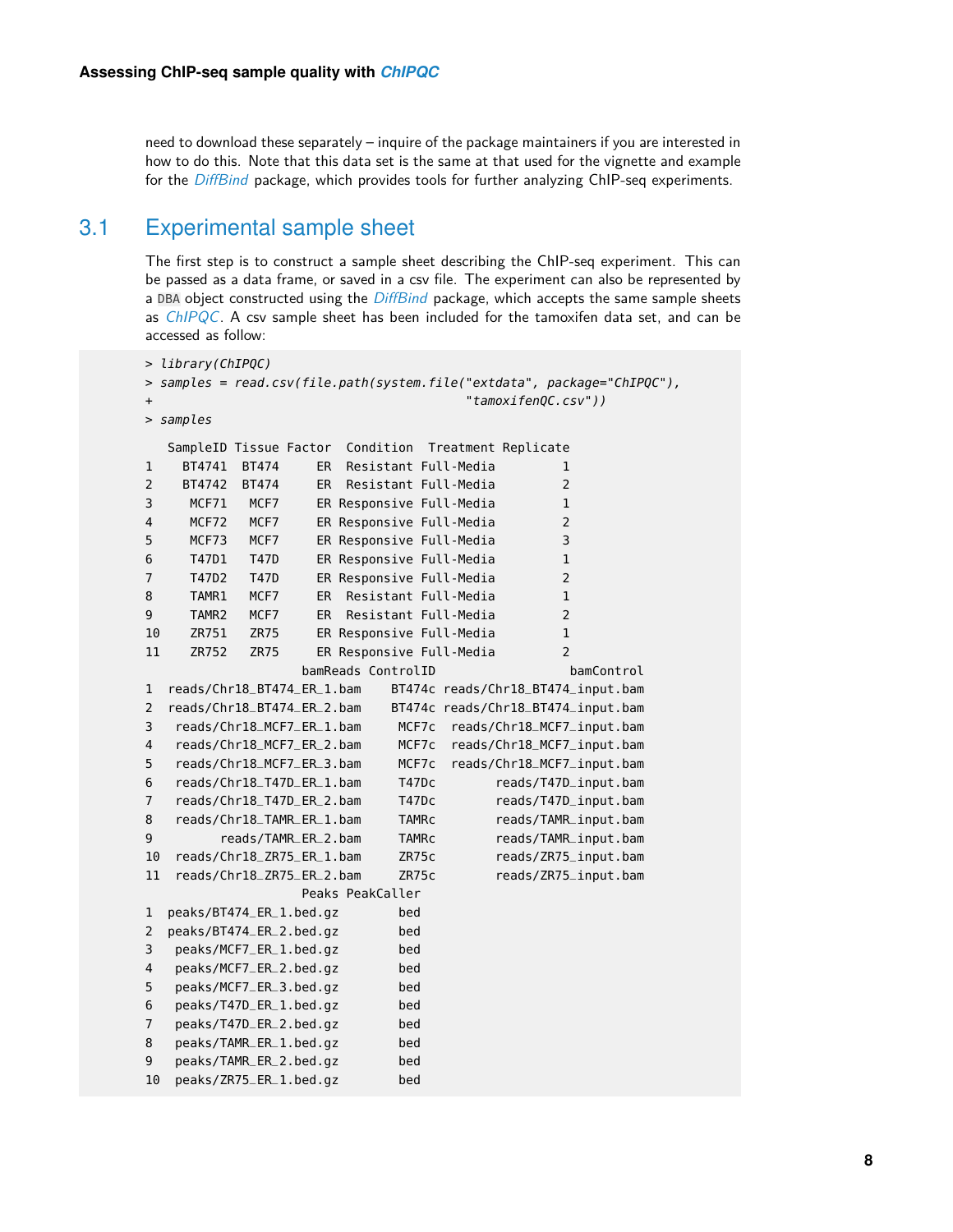<span id="page-7-0"></span>need to download these separately – inquire of the package maintainers if you are interested in how to do this. Note that this data set is the same at that used for the vignette and example for the [DiffBind](http://bioconductor.org/packages/DiffBind) package, which provides tools for further analyzing ChIP-seq experiments.

## 3.1 Experimental sample sheet

The first step is to construct a sample sheet describing the ChIP-seq experiment. This can be passed as a data frame, or saved in a csv file. The experiment can also be represented by a DBA object constructed using the [DiffBind](http://bioconductor.org/packages/DiffBind) package, which accepts the same sample sheets as  $ChIPQC$ . A csv sample sheet has been included for the tamoxifen data set, and can be accessed as follow:

```
> library(ChIPQC)
> samples = read.csv(file.path(system.file("extdata", package="ChIPQC"),
+ "tamoxifenQC.csv"))
> samples
  SampleID Tissue Factor Condition Treatment Replicate
1 BT4741 BT474 ER Resistant Full-Media 1
2 BT4742 BT474 ER Resistant Full-Media 2
3 MCF71 MCF7 ER Responsive Full-Media 1
4 MCF72 MCF7 ER Responsive Full-Media 2
5 MCF73 MCF7 ER Responsive Full-Media 3
6 T47D1 T47D ER Responsive Full-Media 1
7 T47D2 T47D ER Responsive Full-Media 2
8 TAMR1 MCF7 ER Resistant Full-Media 1
9 TAMR2 MCF7 ER Resistant Full-Media 2
10 ZR751 ZR75 ER Responsive Full-Media 1
11 ZR752 ZR75 ER Responsive Full-Media 2
                bamReads ControlID bamControl
1 reads/Chr18_BT474_ER_1.bam BT474c reads/Chr18_BT474_input.bam
2 reads/Chr18_BT474_ER_2.bam BT474c reads/Chr18_BT474_input.bam
3 reads/Chr18_MCF7_ER_1.bam MCF7c reads/Chr18_MCF7_input.bam
4 reads/Chr18_MCF7_ER_2.bam MCF7c reads/Chr18_MCF7_input.bam
5 reads/Chr18_MCF7_ER_3.bam MCF7c reads/Chr18_MCF7_input.bam
6 reads/Chr18_T47D_ER_1.bam T47Dc reads/T47D_input.bam
7 reads/Chr18_T47D_ER_2.bam T47Dc reads/T47D_input.bam
8 reads/Chr18_TAMR_ER_1.bam TAMRc reads/TAMR_input.bam
9 reads/TAMR_ER_2.bam TAMRc reads/TAMR_input.bam
10 reads/Chr18_ZR75_ER_1.bam ZR75c reads/ZR75_input.bam
11 reads/Chr18_ZR75_ER_2.bam ZR75c reads/ZR75_input.bam
                Peaks PeakCaller
1 peaks/BT474_ER_1.bed.gz bed
2 peaks/BT474_ER_2.bed.gz bed
3 peaks/MCF7_ER_1.bed.gz bed
4 peaks/MCF7_ER_2.bed.gz bed
5 peaks/MCF7_ER_3.bed.gz bed
6 peaks/T47D_ER_1.bed.gz bed
7 peaks/T47D_ER_2.bed.gz bed
8 peaks/TAMR_ER_1.bed.gz bed
9 peaks/TAMR_ER_2.bed.gz bed
10 peaks/ZR75_ER_1.bed.gz bed
```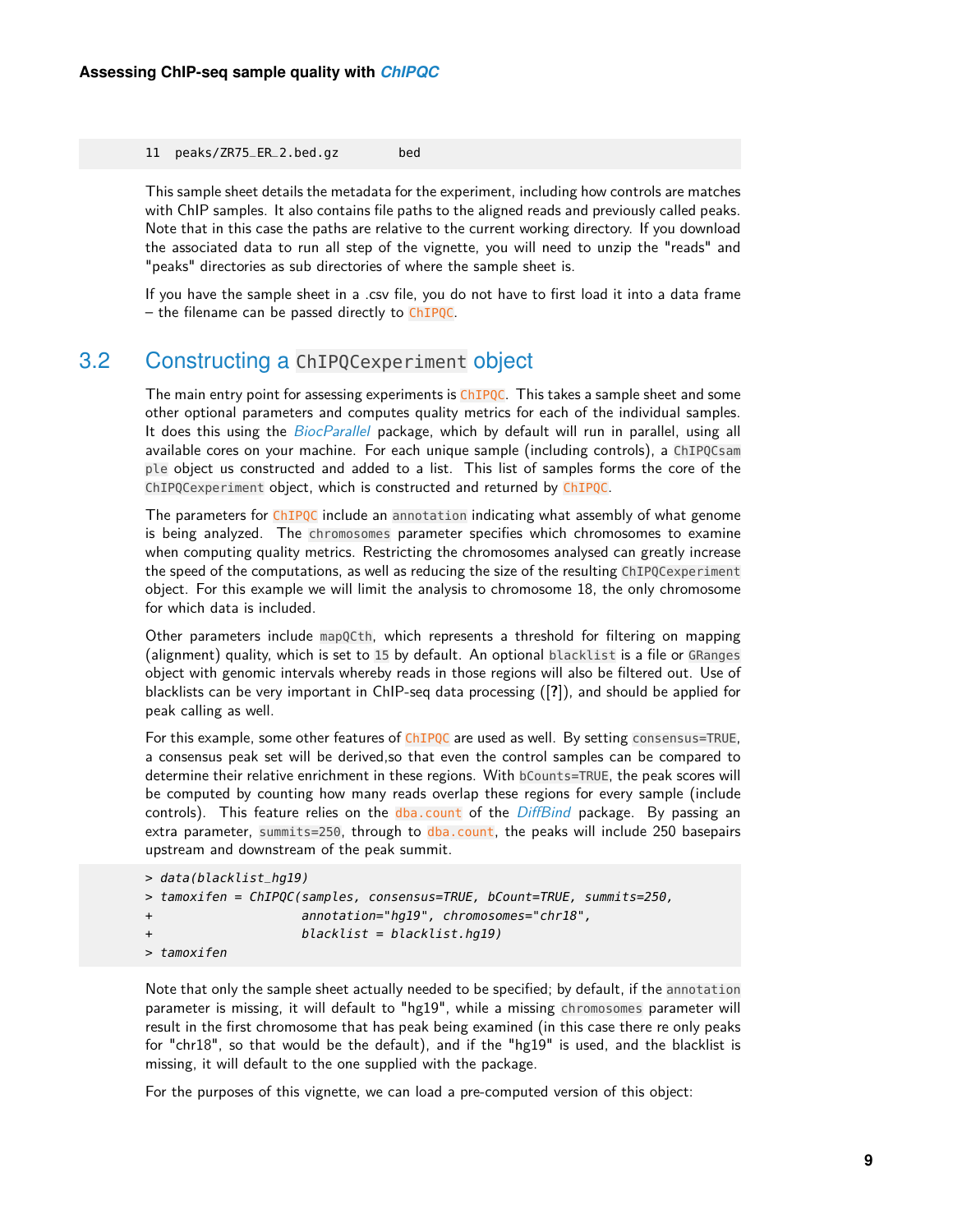#### 11 peaks/ZR75\_ER\_2.bed.gz bed

This sample sheet details the metadata for the experiment, including how controls are matches with ChIP samples. It also contains file paths to the aligned reads and previously called peaks. Note that in this case the paths are relative to the current working directory. If you download the associated data to run all step of the vignette, you will need to unzip the "reads" and "peaks" directories as sub directories of where the sample sheet is.

<span id="page-8-0"></span>If you have the sample sheet in a .csv file, you do not have to first load it into a data frame – the filename can be passed directly to ChIPQC.

### 3.2 Constructing a ChIPQCexperiment object

The main entry point for assessing experiments is ChIPQC. This takes a sample sheet and some other optional parameters and computes quality metrics for each of the individual samples. It does this using the [BiocParallel](http://bioconductor.org/packages/BiocParallel) package, which by default will run in parallel, using all available cores on your machine. For each unique sample (including controls), a ChIPQCsam ple object us constructed and added to a list. This list of samples forms the core of the ChIPQCexperiment object, which is constructed and returned by ChIPQC.

The parameters for ChIPQC include an annotation indicating what assembly of what genome is being analyzed. The chromosomes parameter specifies which chromosomes to examine when computing quality metrics. Restricting the chromosomes analysed can greatly increase the speed of the computations, as well as reducing the size of the resulting ChIPQCexperiment object. For this example we will limit the analysis to chromosome 18, the only chromosome for which data is included.

Other parameters include mapQCth, which represents a threshold for filtering on mapping (alignment) quality, which is set to 15 by default. An optional blacklist is a file or GRanges object with genomic intervals whereby reads in those regions will also be filtered out. Use of blacklists can be very important in ChIP-seq data processing ([**?**]), and should be applied for peak calling as well.

For this example, some other features of ChIPQC are used as well. By setting consensus=TRUE, a consensus peak set will be derived,so that even the control samples can be compared to determine their relative enrichment in these regions. With bCounts=TRUE, the peak scores will be computed by counting how many reads overlap these regions for every sample (include controls). This feature relies on the dba.count of the [DiffBind](http://bioconductor.org/packages/DiffBind) package. By passing an extra parameter, summits=250, through to  $dba$ , count, the peaks will include 250 basepairs upstream and downstream of the peak summit.

```
> data(blacklist_hg19)
> tamoxifen = ChIPQC(samples, consensus=TRUE, bCount=TRUE, summits=250,
+ annotation="hg19", chromosomes="chr18",
+ blacklist = blacklist.hg19)
> tamoxifen
```
Note that only the sample sheet actually needed to be specified; by default, if the annotation parameter is missing, it will default to "hg19", while a missing chromosomes parameter will result in the first chromosome that has peak being examined (in this case there re only peaks for "chr18", so that would be the default), and if the "hg19" is used, and the blacklist is missing, it will default to the one supplied with the package.

For the purposes of this vignette, we can load a pre-computed version of this object: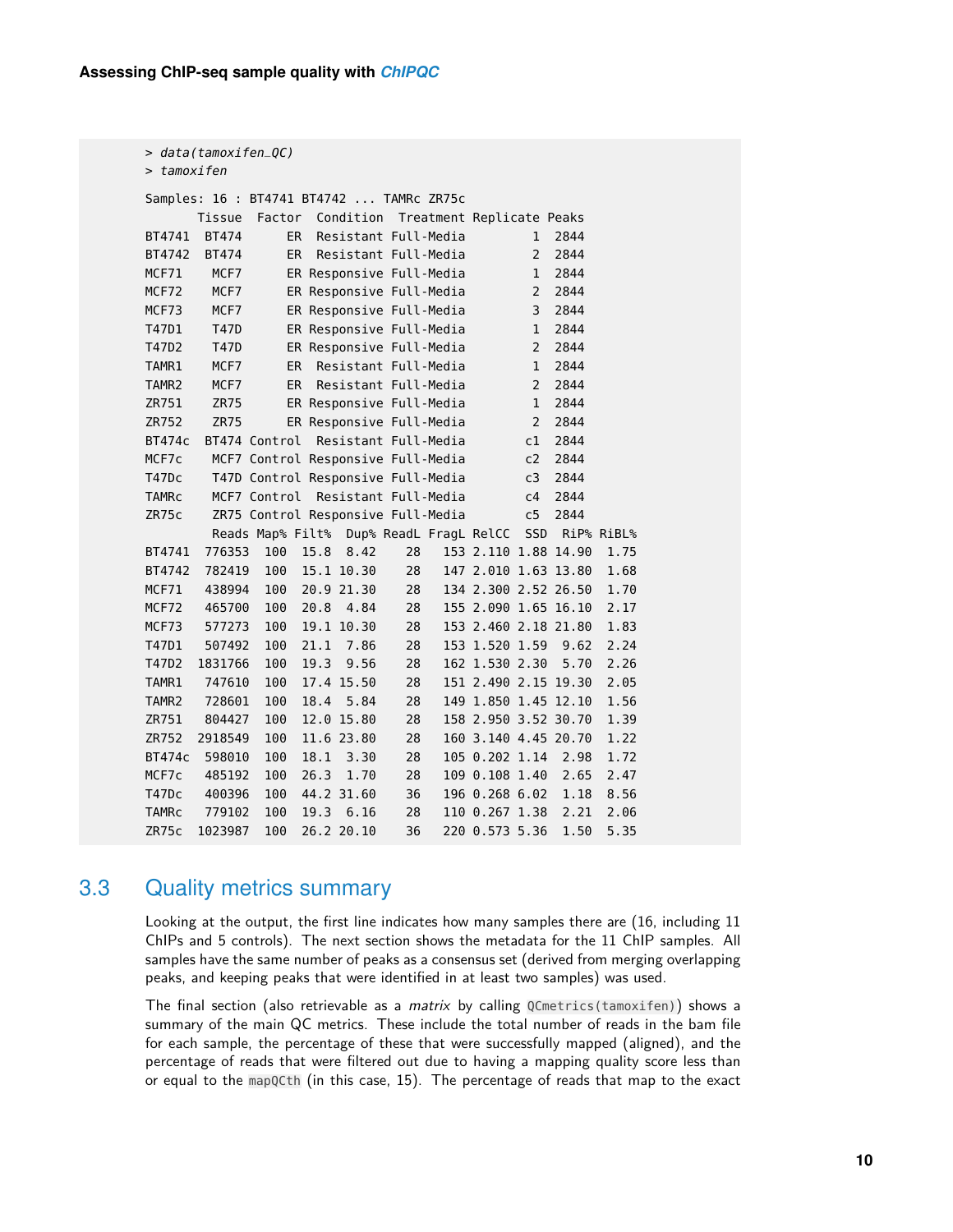| $> data(tamoxifen_QC)$ |              |                                            |      |                          |    |  |                |                |                      |            |
|------------------------|--------------|--------------------------------------------|------|--------------------------|----|--|----------------|----------------|----------------------|------------|
| > tamoxifen            |              |                                            |      |                          |    |  |                |                |                      |            |
|                        |              | Samples: 16 : BT4741 BT4742  TAMRc ZR75c   |      |                          |    |  |                |                |                      |            |
|                        | Tissue       | Factor Condition Treatment Replicate Peaks |      |                          |    |  |                |                |                      |            |
| BT4741                 | <b>BT474</b> | ER.                                        |      | Resistant Full-Media     |    |  |                | $\mathbf{1}$   | 2844                 |            |
| BT4742                 | <b>BT474</b> | ER.                                        |      | Resistant Full-Media     |    |  |                | $\overline{2}$ | 2844                 |            |
| MCF71                  | MCF7         |                                            |      | ER Responsive Full-Media |    |  |                | $\mathbf{1}$   | 2844                 |            |
| MCF72                  | MCF7         |                                            |      | ER Responsive Full-Media |    |  |                | $\overline{2}$ | 2844                 |            |
| MCF73                  | MCF7         |                                            |      | ER Responsive Full-Media |    |  |                | 3              | 2844                 |            |
| T47D1                  | T47D         |                                            |      | ER Responsive Full-Media |    |  |                | $\mathbf{1}$   | 2844                 |            |
| T47D2                  | T47D         |                                            |      | ER Responsive Full-Media |    |  |                | $\overline{2}$ | 2844                 |            |
| TAMR1                  | MCF7         | ER.                                        |      | Resistant Full-Media     |    |  |                | $\mathbf{1}$   | 2844                 |            |
| TAMR <sub>2</sub>      | MCF7         | ER.                                        |      | Resistant Full-Media     |    |  |                | $\overline{2}$ | 2844                 |            |
| ZR751                  | <b>ZR75</b>  |                                            |      | ER Responsive Full-Media |    |  |                | $\mathbf{1}$   | 2844                 |            |
| ZR752                  | <b>ZR75</b>  |                                            |      | ER Responsive Full-Media |    |  |                | $\overline{2}$ | 2844                 |            |
| <b>BT474c</b>          |              | BT474 Control Resistant Full-Media         |      |                          |    |  |                | c1             | 2844                 |            |
| MCF7c                  |              | MCF7 Control Responsive Full-Media         |      |                          |    |  |                | c2             | 2844                 |            |
| T47Dc                  |              | T47D Control Responsive Full-Media         |      |                          |    |  |                | c3             | 2844                 |            |
| TAMRC                  |              | MCF7 Control Resistant Full-Media          |      |                          |    |  |                | c4             | 2844                 |            |
| ZR75c                  |              | ZR75 Control Responsive Full-Media         |      |                          |    |  |                | c5             | 2844                 |            |
|                        |              | Reads Map% Filt% Dup% ReadL FragL RelCC    |      |                          |    |  |                | SSD            |                      | RiP% RiBL% |
| BT4741                 | 776353       | 100                                        | 15.8 | 8.42                     | 28 |  |                |                | 153 2.110 1.88 14.90 | 1.75       |
| BT4742                 | 782419       | 100                                        |      | 15.1 10.30               | 28 |  |                |                | 147 2.010 1.63 13.80 | 1.68       |
| MCF71                  | 438994       | 100                                        |      | 20.9 21.30               | 28 |  |                |                | 134 2.300 2.52 26.50 | 1.70       |
| MCF72                  | 465700       | 100                                        | 20.8 | 4.84                     | 28 |  |                |                | 155 2.090 1.65 16.10 | 2.17       |
| MCF73                  | 577273       | 100                                        |      | 19.1 10.30               | 28 |  |                |                | 153 2.460 2.18 21.80 | 1.83       |
| T47D1                  | 507492       | 100                                        | 21.1 | 7.86                     | 28 |  | 153 1.520 1.59 |                | 9.62                 | 2.24       |
| T47D2                  | 1831766      | 100                                        | 19.3 | 9.56                     | 28 |  | 162 1.530 2.30 |                | 5.70                 | 2.26       |
| TAMR1                  | 747610       | 100                                        |      | 17.4 15.50               | 28 |  |                |                | 151 2.490 2.15 19.30 | 2.05       |
| TAMR <sub>2</sub>      | 728601       | 100                                        | 18.4 | 5.84                     | 28 |  |                |                | 149 1.850 1.45 12.10 | 1.56       |
| ZR751                  | 804427       | 100                                        |      | 12.0 15.80               | 28 |  |                |                | 158 2.950 3.52 30.70 | 1.39       |
| ZR752                  | 2918549      | 100                                        |      | 11.6 23.80               | 28 |  |                |                | 160 3.140 4.45 20.70 | 1.22       |
| BT474c                 | 598010       | 100                                        | 18.1 | 3.30                     | 28 |  | 105 0.202 1.14 |                | 2.98                 | 1.72       |
| MCF7c                  | 485192       | 100                                        | 26.3 | 1.70                     | 28 |  | 109 0.108 1.40 |                | 2.65                 | 2.47       |
| T47Dc                  | 400396       | 100                                        |      | 44.2 31.60               | 36 |  | 196 0.268 6.02 |                | 1.18                 | 8.56       |
| TAMRC                  | 779102       | 100                                        | 19.3 | 6.16                     | 28 |  | 110 0.267 1.38 |                | 2.21                 | 2.06       |
| ZR75c                  | 1023987      | 100                                        |      | 26.2 20.10               | 36 |  | 220 0.573 5.36 |                | 1.50                 | 5.35       |

## 3.3 Quality metrics summary

<span id="page-9-0"></span>Looking at the output, the first line indicates how many samples there are (16, including 11 ChIPs and 5 controls). The next section shows the metadata for the 11 ChIP samples. All samples have the same number of peaks as a consensus set (derived from merging overlapping peaks, and keeping peaks that were identified in at least two samples) was used.

The final section (also retrievable as a *matrix* by calling  $0$ Cmetrics(tamoxifen)) shows a summary of the main QC metrics. These include the total number of reads in the bam file for each sample, the percentage of these that were successfully mapped (aligned), and the percentage of reads that were filtered out due to having a mapping quality score less than or equal to the mapQCth (in this case, 15). The percentage of reads that map to the exact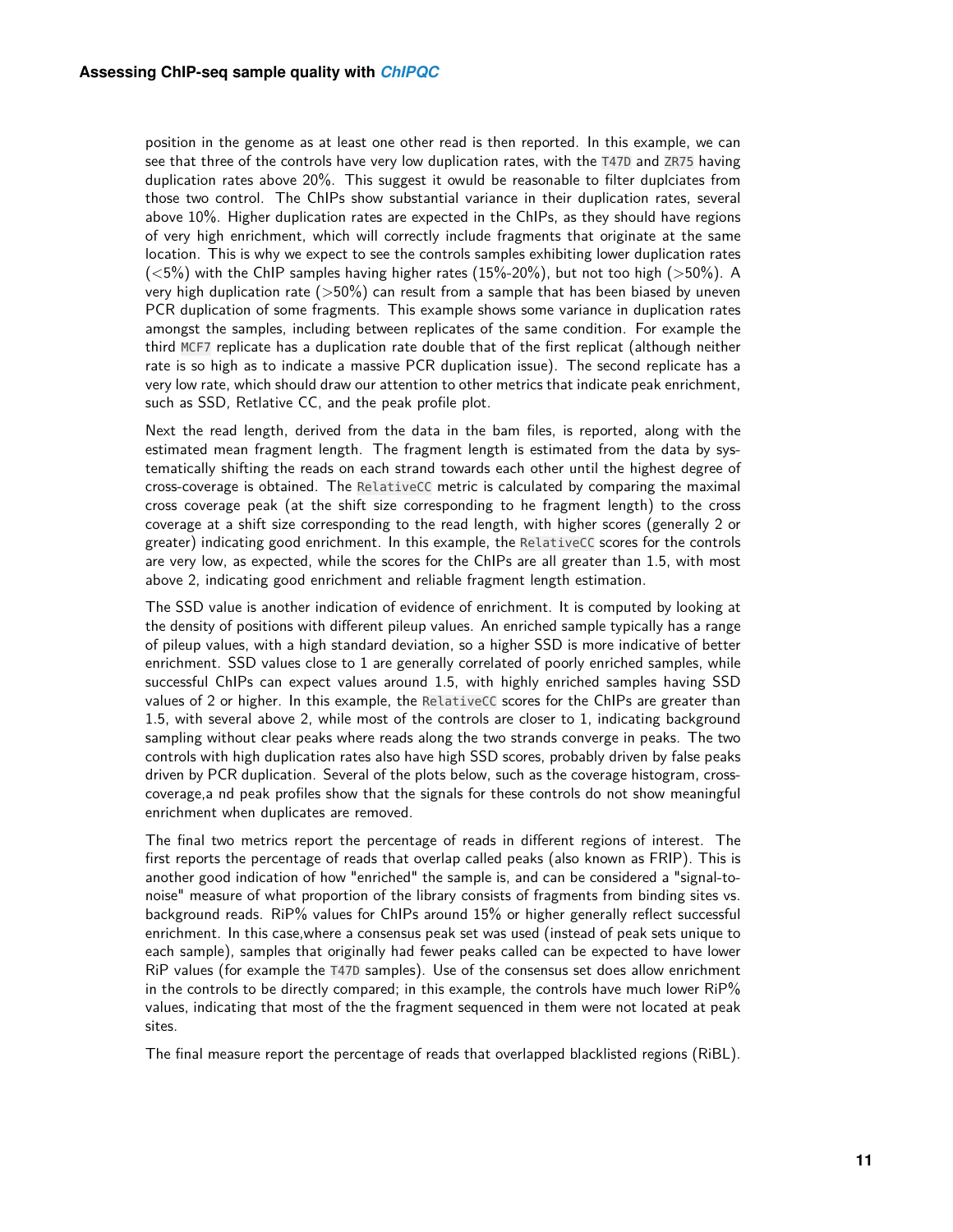position in the genome as at least one other read is then reported. In this example, we can see that three of the controls have very low duplication rates, with the T47D and ZR75 having duplication rates above 20%. This suggest it owuld be reasonable to filter duplciates from those two control. The ChIPs show substantial variance in their duplication rates, several above 10%. Higher duplication rates are expected in the ChIPs, as they should have regions of very high enrichment, which will correctly include fragments that originate at the same location. This is why we expect to see the controls samples exhibiting lower duplication rates  $(<5\%)$  with the ChIP samples having higher rates  $(15\%-20\%)$ , but not too high  $(>50\%)$ . A very high duplication rate  $(>50\%)$  can result from a sample that has been biased by uneven PCR duplication of some fragments. This example shows some variance in duplication rates amongst the samples, including between replicates of the same condition. For example the third MCF7 replicate has a duplication rate double that of the first replicat (although neither rate is so high as to indicate a massive PCR duplication issue). The second replicate has a very low rate, which should draw our attention to other metrics that indicate peak enrichment, such as SSD, Retlative CC, and the peak profile plot.

Next the read length, derived from the data in the bam files, is reported, along with the estimated mean fragment length. The fragment length is estimated from the data by systematically shifting the reads on each strand towards each other until the highest degree of cross-coverage is obtained. The RelativeCC metric is calculated by comparing the maximal cross coverage peak (at the shift size corresponding to he fragment length) to the cross coverage at a shift size corresponding to the read length, with higher scores (generally 2 or greater) indicating good enrichment. In this example, the RelativeCC scores for the controls are very low, as expected, while the scores for the ChIPs are all greater than 1.5, with most above 2, indicating good enrichment and reliable fragment length estimation.

The SSD value is another indication of evidence of enrichment. It is computed by looking at the density of positions with different pileup values. An enriched sample typically has a range of pileup values, with a high standard deviation, so a higher SSD is more indicative of better enrichment. SSD values close to 1 are generally correlated of poorly enriched samples, while successful ChIPs can expect values around 1.5, with highly enriched samples having SSD values of 2 or higher. In this example, the RelativeCC scores for the ChIPs are greater than 1.5, with several above 2, while most of the controls are closer to 1, indicating background sampling without clear peaks where reads along the two strands converge in peaks. The two controls with high duplication rates also have high SSD scores, probably driven by false peaks driven by PCR duplication. Several of the plots below, such as the coverage histogram, crosscoverage,a nd peak profiles show that the signals for these controls do not show meaningful enrichment when duplicates are removed.

The final two metrics report the percentage of reads in different regions of interest. The first reports the percentage of reads that overlap called peaks (also known as FRIP). This is another good indication of how "enriched" the sample is, and can be considered a "signal-tonoise" measure of what proportion of the library consists of fragments from binding sites vs. background reads. RiP% values for ChIPs around 15% or higher generally reflect successful enrichment. In this case,where a consensus peak set was used (instead of peak sets unique to each sample), samples that originally had fewer peaks called can be expected to have lower RiP values (for example the T47D samples). Use of the consensus set does allow enrichment in the controls to be directly compared; in this example, the controls have much lower RiP% values, indicating that most of the the fragment sequenced in them were not located at peak sites.

<span id="page-10-0"></span>The final measure report the percentage of reads that overlapped blacklisted regions (RiBL).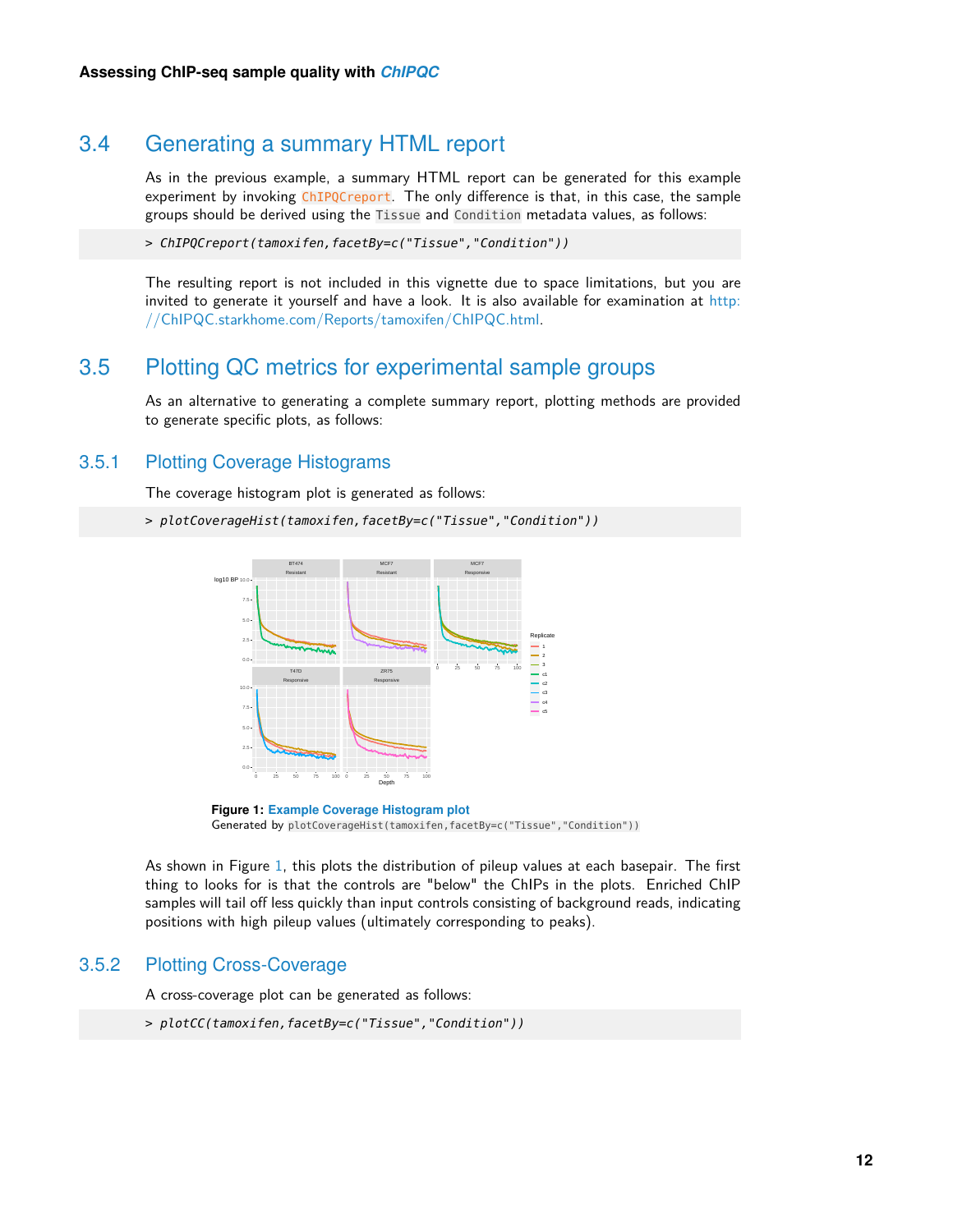## 3.4 Generating a summary HTML report

As in the previous example, a summary HTML report can be generated for this example experiment by invoking ChIPQCreport. The only difference is that, in this case, the sample groups should be derived using the Tissue and Condition metadata values, as follows:

> ChIPQCreport(tamoxifen,facetBy=c("Tissue","Condition"))

<span id="page-11-0"></span>The resulting report is not included in this vignette due to space limitations, but you are invited to generate it yourself and have a look. It is also available for examination at [http:](http://ChIPQC.starkhome.com/Reports/tamoxifen/ChIPQC.html) [//ChIPQC.starkhome.com/Reports/tamoxifen/ChIPQC.html.](http://ChIPQC.starkhome.com/Reports/tamoxifen/ChIPQC.html)

## 3.5 Plotting QC metrics for experimental sample groups

<span id="page-11-1"></span>As an alternative to generating a complete summary report, plotting methods are provided to generate specific plots, as follows:

#### 3.5.1 Plotting Coverage Histograms

The coverage histogram plot is generated as follows:

```
> plotCoverageHist(tamoxifen,facetBy=c("Tissue","Condition"))
```


**Figure 1: Example Coverage Histogram plot** Generated by plotCoverageHist(tamoxifen,facetBy=c("Tissue","Condition"))

As shown in Figure [1,](#page-11-3) this plots the distribution of pileup values at each basepair. The first thing to looks for is that the controls are "below" the ChIPs in the plots. Enriched ChIP samples will tail off less quickly than input controls consisting of background reads, indicating positions with high pileup values (ultimately corresponding to peaks).

#### 3.5.2 Plotting Cross-Coverage

<span id="page-11-2"></span>A cross-coverage plot can be generated as follows:

```
> plotCC(tamoxifen,facetBy=c("Tissue","Condition"))
```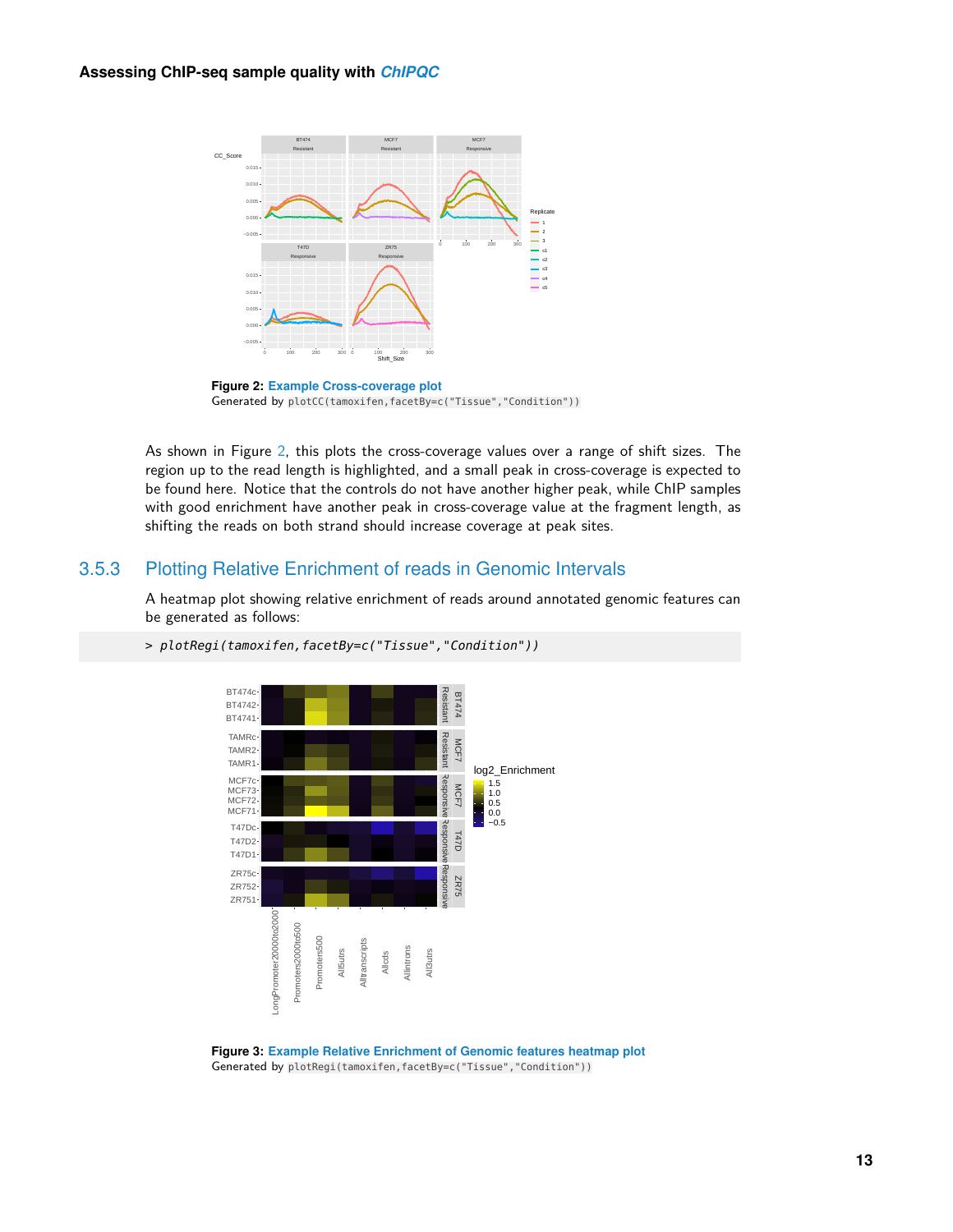<span id="page-12-1"></span>

**Figure 2: Example Cross-coverage plot** Generated by plotCC(tamoxifen,facetBy=c("Tissue","Condition"))

As shown in Figure [2,](#page-12-1) this plots the cross-coverage values over a range of shift sizes. The region up to the read length is highlighted, and a small peak in cross-coverage is expected to be found here. Notice that the controls do not have another higher peak, while ChIP samples with good enrichment have another peak in cross-coverage value at the fragment length, as shifting the reads on both strand should increase coverage at peak sites.

#### 3.5.3 Plotting Relative Enrichment of reads in Genomic Intervals

<span id="page-12-0"></span>A heatmap plot showing relative enrichment of reads around annotated genomic features can be generated as follows:



<span id="page-12-2"></span>> plotRegi(tamoxifen,facetBy=c("Tissue","Condition"))

**Figure 3: Example Relative Enrichment of Genomic features heatmap plot** Generated by plotRegi(tamoxifen,facetBy=c("Tissue","Condition"))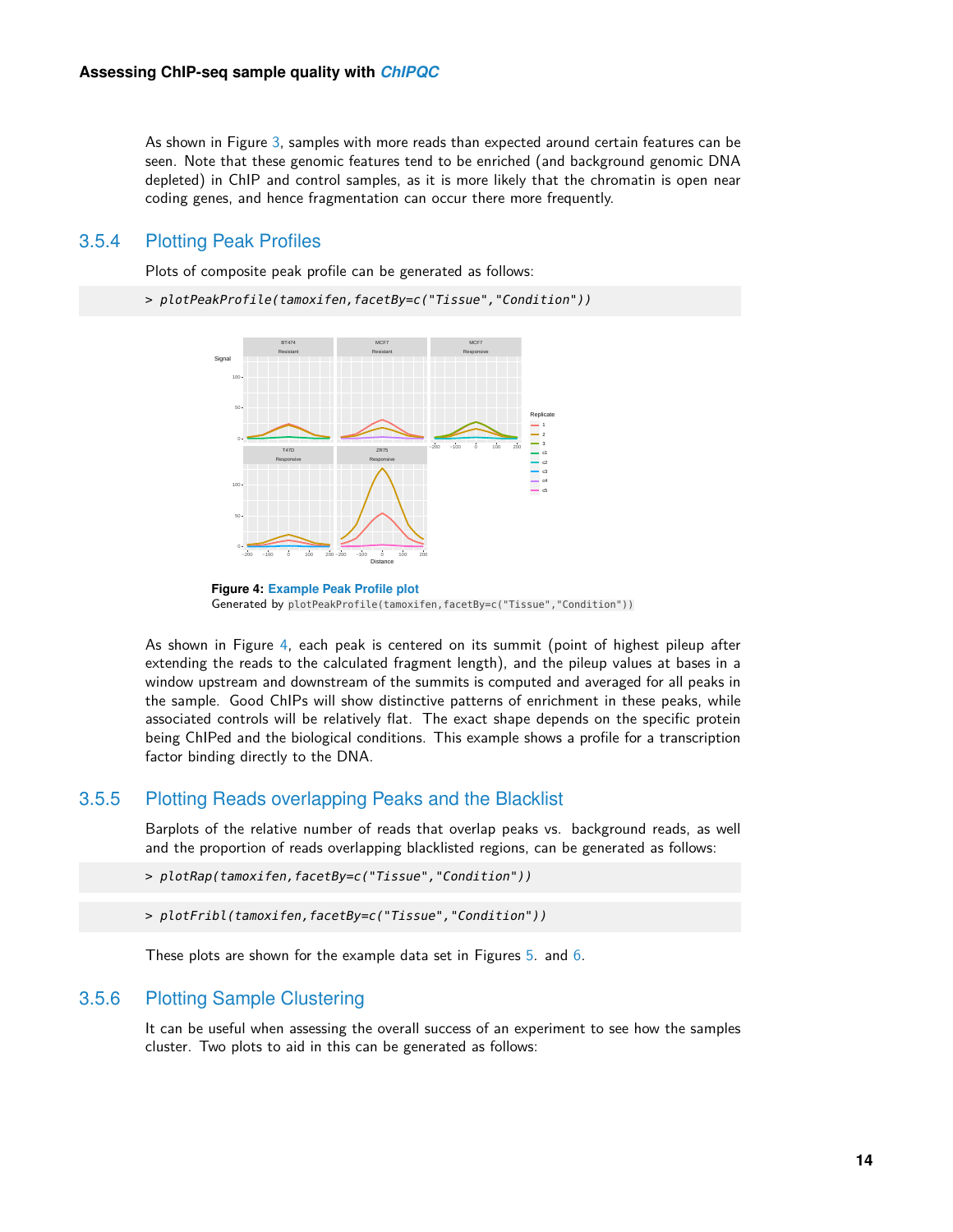As shown in Figure [3,](#page-12-2) samples with more reads than expected around certain features can be seen. Note that these genomic features tend to be enriched (and background genomic DNA depleted) in ChIP and control samples, as it is more likely that the chromatin is open near coding genes, and hence fragmentation can occur there more frequently.

#### 3.5.4 Plotting Peak Profiles

<span id="page-13-0"></span>Plots of composite peak profile can be generated as follows:

```
> plotPeakProfile(tamoxifen,facetBy=c("Tissue","Condition"))
```




As shown in Figure [4,](#page-13-3) each peak is centered on its summit (point of highest pileup after extending the reads to the calculated fragment length), and the pileup values at bases in a window upstream and downstream of the summits is computed and averaged for all peaks in the sample. Good ChIPs will show distinctive patterns of enrichment in these peaks, while associated controls will be relatively flat. The exact shape depends on the specific protein being ChIPed and the biological conditions. This example shows a profile for a transcription factor binding directly to the DNA.

#### 3.5.5 Plotting Reads overlapping Peaks and the Blacklist

<span id="page-13-1"></span>Barplots of the relative number of reads that overlap peaks vs. background reads, as well and the proportion of reads overlapping blacklisted regions, can be generated as follows:

```
> plotRap(tamoxifen,facetBy=c("Tissue","Condition"))
```

```
> plotFribl(tamoxifen,facetBy=c("Tissue","Condition"))
```
<span id="page-13-2"></span>These plots are shown for the example data set in Figures [5.](#page-14-0) and [6.](#page-14-1)

#### 3.5.6 Plotting Sample Clustering

It can be useful when assessing the overall success of an experiment to see how the samples cluster. Two plots to aid in this can be generated as follows: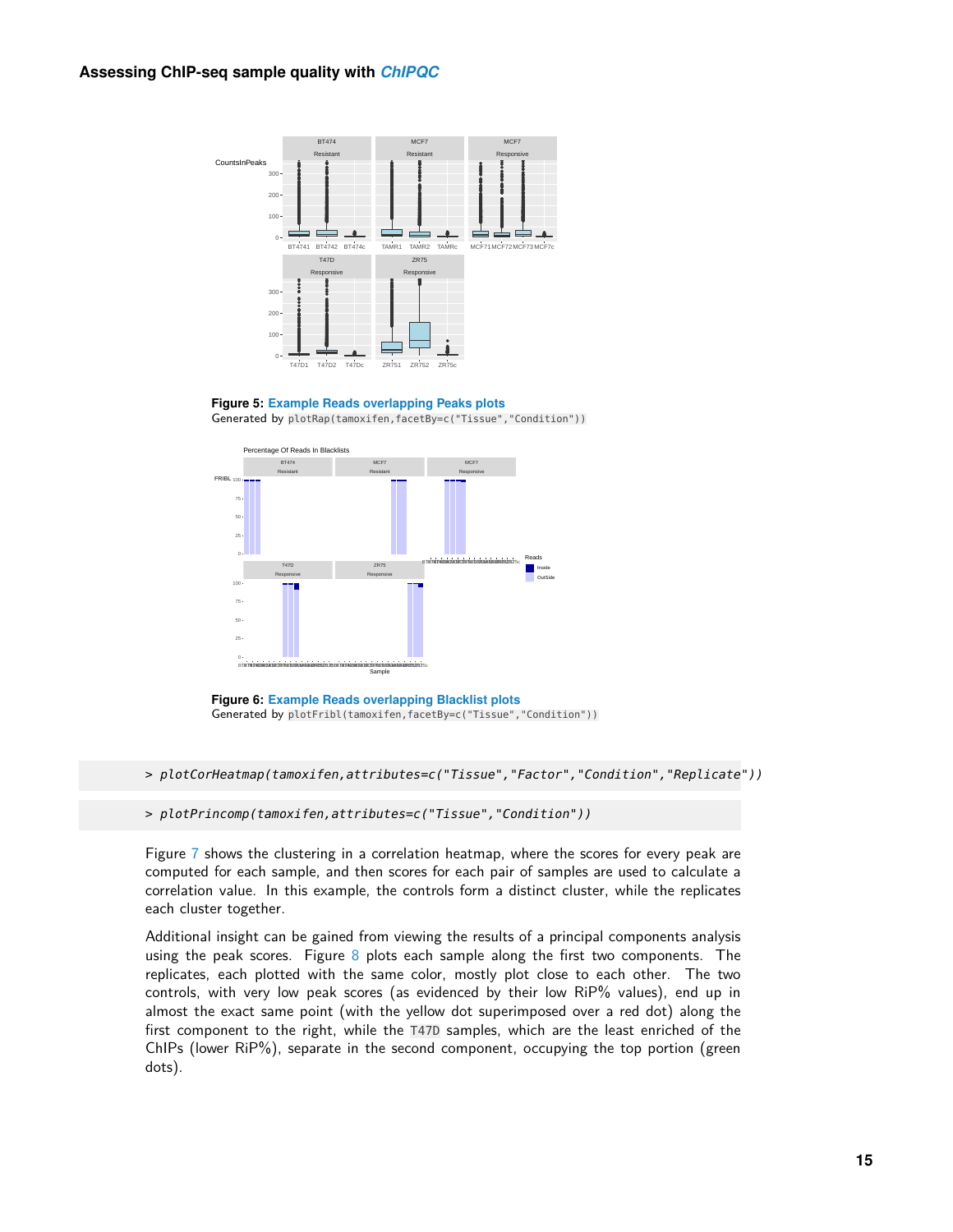#### **Assessing ChIP-seq sample quality with** *[ChIPQC](http://bioconductor.org/packages/ChIPQC)*

<span id="page-14-0"></span>

**Figure 5: Example Reads overlapping Peaks plots** Generated by plotRap(tamoxifen,facetBy=c("Tissue","Condition"))

<span id="page-14-1"></span>

**Figure 6: Example Reads overlapping Blacklist plots** Generated by plotFribl(tamoxifen,facetBy=c("Tissue","Condition"))

> plotCorHeatmap(tamoxifen,attributes=c("Tissue","Factor","Condition","Replicate"))

> plotPrincomp(tamoxifen,attributes=c("Tissue","Condition"))

Figure [7](#page-15-2) shows the clustering in a correlation heatmap, where the scores for every peak are computed for each sample, and then scores for each pair of samples are used to calculate a correlation value. In this example, the controls form a distinct cluster, while the replicates each cluster together.

Additional insight can be gained from viewing the results of a principal components analysis using the peak scores. Figure  $8$  plots each sample along the first two components. The replicates, each plotted with the same color, mostly plot close to each other. The two controls, with very low peak scores (as evidenced by their low RiP% values), end up in almost the exact same point (with the yellow dot superimposed over a red dot) along the first component to the right, while the T47D samples, which are the least enriched of the ChIPs (lower RiP%), separate in the second component, occupying the top portion (green dots).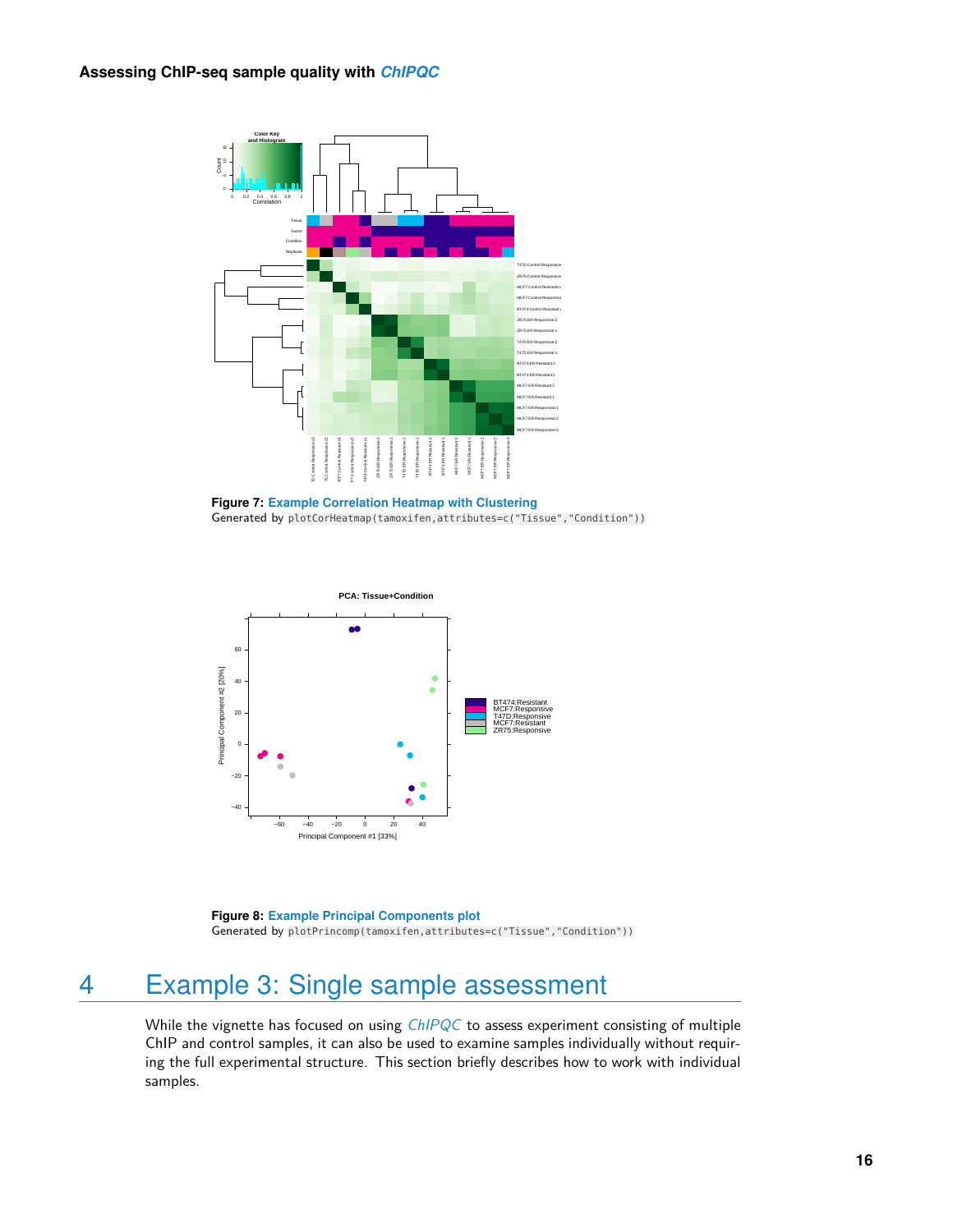<span id="page-15-2"></span>

**Figure 7: Example Correlation Heatmap with Clustering** Generated by plotCorHeatmap(tamoxifen,attributes=c("Tissue","Condition"))

<span id="page-15-3"></span>

**Figure 8: Example Principal Components plot** Generated by plotPrincomp(tamoxifen,attributes=c("Tissue","Condition"))

# 4 Example 3: Single sample assessment

<span id="page-15-1"></span><span id="page-15-0"></span>While the vignette has focused on using [ChIPQC](http://bioconductor.org/packages/ChIPQC) to assess experiment consisting of multiple ChIP and control samples, it can also be used to examine samples individually without requiring the full experimental structure. This section briefly describes how to work with individual samples.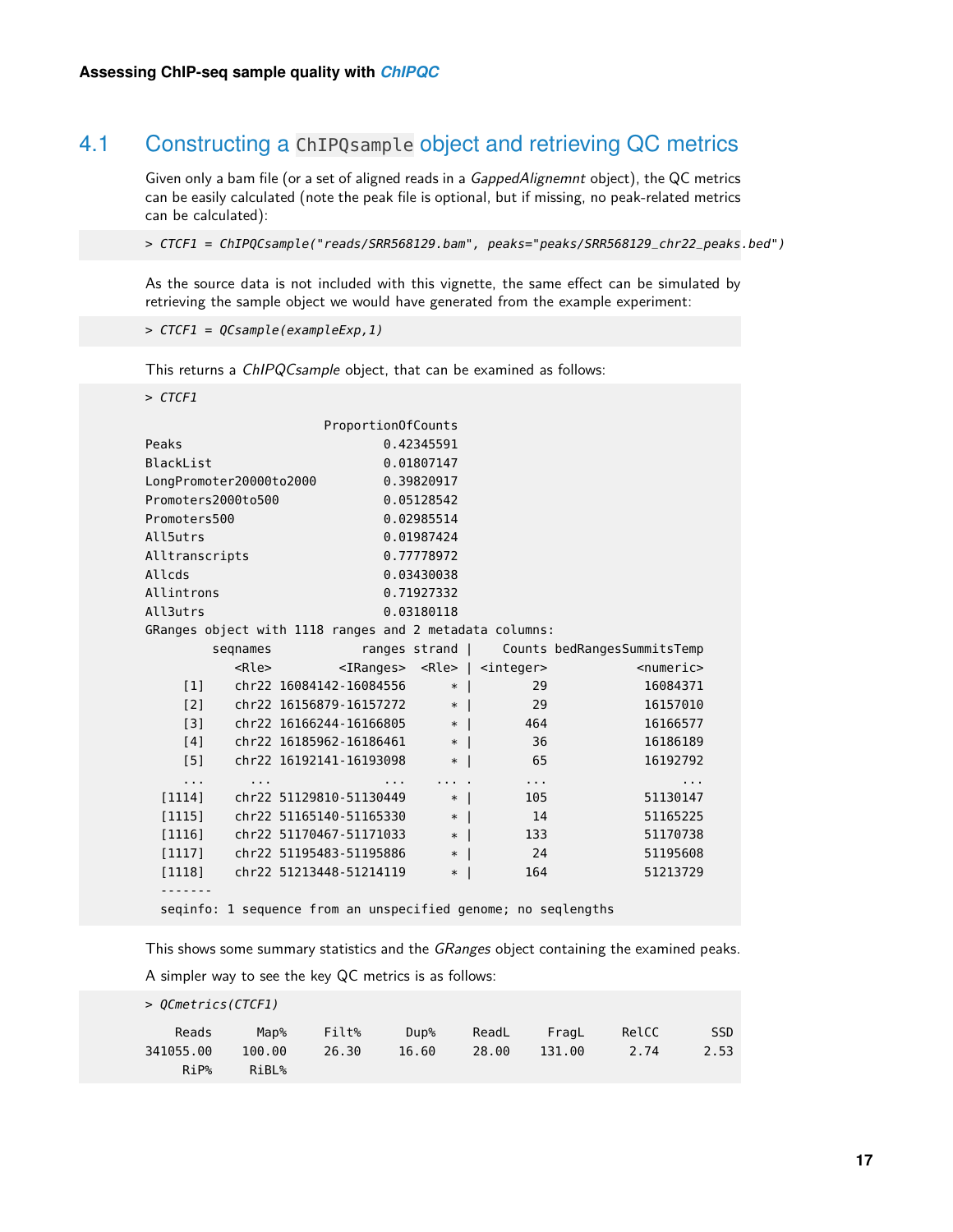## 4.1 Constructing a ChIPQsample object and retrieving QC metrics

Given only a bam file (or a set of aligned reads in a GappedAlignemnt object), the QC metrics can be easily calculated (note the peak file is optional, but if missing, no peak-related metrics can be calculated):

> CTCF1 = ChIPQCsample("reads/SRR568129.bam", peaks="peaks/SRR568129\_chr22\_peaks.bed")

As the source data is not included with this vignette, the same effect can be simulated by retrieving the sample object we would have generated from the example experiment:

> CTCF1 = QCsample(exampleExp,1)

This returns a ChIPQCsample object, that can be examined as follows:

> CTCF1

|                                                           |                                    |                         | Proportion0fCounts |                |                                                               |                                             |
|-----------------------------------------------------------|------------------------------------|-------------------------|--------------------|----------------|---------------------------------------------------------------|---------------------------------------------|
| Peaks                                                     |                                    |                         |                    | 0.42345591     |                                                               |                                             |
| BlackList                                                 |                                    |                         |                    | 0.01807147     |                                                               |                                             |
| LongPromoter20000to2000                                   |                                    |                         |                    | 0.39820917     |                                                               |                                             |
| Promoters2000to500                                        |                                    |                         | 0.05128542         |                |                                                               |                                             |
| Promoters500                                              |                                    |                         |                    | 0.02985514     |                                                               |                                             |
| All5utrs                                                  |                                    |                         |                    | 0.01987424     |                                                               |                                             |
| Alltranscripts                                            |                                    |                         |                    | 0.77778972     |                                                               |                                             |
| Allcds                                                    |                                    |                         |                    | 0.03430038     |                                                               |                                             |
| Allintrons                                                |                                    |                         |                    | 0.71927332     |                                                               |                                             |
| All3utrs                                                  |                                    |                         |                    | 0.03180118     |                                                               |                                             |
| GRanges object with 1118 ranges and 2 metadata columns:   |                                    |                         |                    |                |                                                               |                                             |
|                                                           | segnames                           |                         |                    |                |                                                               | ranges strand   Counts bedRangesSummitsTemp |
|                                                           |                                    | <rle></rle>             |                    |                | <iranges> <rle>   <integer></integer></rle></iranges>         | $<$ numeric $>$                             |
|                                                           | $[1]$ chr22 16084142-16084556      |                         |                    | $*$            | 29                                                            | 16084371                                    |
|                                                           | $[2]$ chr22 16156879-16157272 *    |                         |                    |                | 29                                                            | 16157010                                    |
|                                                           | $[3]$ chr22 16166244-16166805 *    |                         |                    |                | 464                                                           | 16166577                                    |
|                                                           | $[4]$ chr22 16185962-16186461 *    |                         |                    |                | 36                                                            | 16186189                                    |
| [5]                                                       |                                    | chr22 16192141-16193098 |                    | $*$            | 65                                                            | 16192792                                    |
| $\mathbf{r}$ , $\mathbf{r}$ , $\mathbf{r}$ , $\mathbf{r}$ |                                    |                         |                    | والمتوارث ومعا | $\ldots$ .                                                    | .                                           |
|                                                           | $[1114]$ chr22 51129810-51130449 * |                         |                    |                | 105                                                           | 51130147                                    |
|                                                           | $[1115]$ chr22 51165140-51165330 * |                         |                    |                | 14                                                            | 51165225                                    |
|                                                           | $[1116]$ chr22 51170467-51171033   |                         |                    | $*$            | 133                                                           | 51170738                                    |
|                                                           | [1117] chr22 51195483-51195886     |                         |                    | $*$            | 24                                                            | 51195608                                    |
|                                                           | [1118] chr22 51213448-51214119     |                         |                    | $*$            | 164                                                           | 51213729                                    |
|                                                           |                                    |                         |                    |                |                                                               |                                             |
|                                                           |                                    |                         |                    |                | seqinfo: 1 sequence from an unspecified genome; no seqlengths |                                             |

This shows some summary statistics and the GRanges object containing the examined peaks.

A simpler way to see the key QC metrics is as follows:

| $> 0$ Cmetrics(CTCF1) |               |       |         |       |        |       |            |  |  |
|-----------------------|---------------|-------|---------|-------|--------|-------|------------|--|--|
| Reads                 | Map $\%$      | Filt% | $Dup$ % | ReadL | FragL  | RelCC | <b>SSD</b> |  |  |
| 341055.00             | 100.00        | 26.30 | 16.60   | 28.00 | 131.00 | 2.74  | 2.53       |  |  |
| $R_1P$ %              | $R$ i Bl $\%$ |       |         |       |        |       |            |  |  |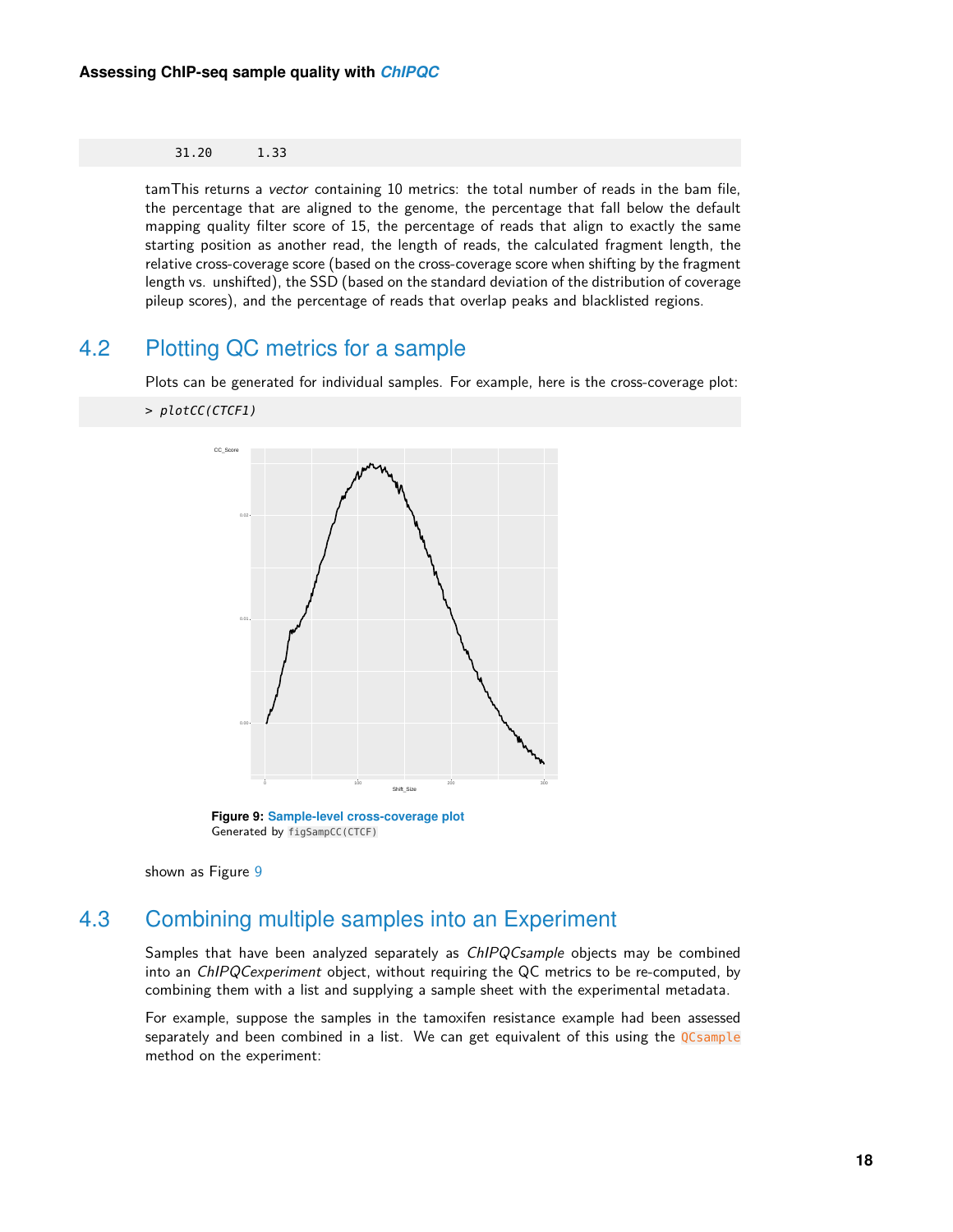#### 31.20 1.33

tamThis returns a vector containing 10 metrics: the total number of reads in the bam file, the percentage that are aligned to the genome, the percentage that fall below the default mapping quality filter score of 15, the percentage of reads that align to exactly the same starting position as another read, the length of reads, the calculated fragment length, the relative cross-coverage score (based on the cross-coverage score when shifting by the fragment length vs. unshifted), the SSD (based on the standard deviation of the distribution of coverage pileup scores), and the percentage of reads that overlap peaks and blacklisted regions.

### 4.2 Plotting QC metrics for a sample

<span id="page-17-0"></span>Plots can be generated for individual samples. For example, here is the cross-coverage plot:

#### <span id="page-17-2"></span>> plotCC(CTCF1)



**Figure 9: Sample-level cross-coverage plot** Generated by figSampCC(CTCF)

<span id="page-17-1"></span>shown as Figure [9](#page-17-2)

## 4.3 Combining multiple samples into an Experiment

Samples that have been analyzed separately as ChIPQCsample objects may be combined into an ChIPQCexperiment object, without requiring the QC metrics to be re-computed, by combining them with a list and supplying a sample sheet with the experimental metadata.

For example, suppose the samples in the tamoxifen resistance example had been assessed separately and been combined in a list. We can get equivalent of this using the QCsample method on the experiment: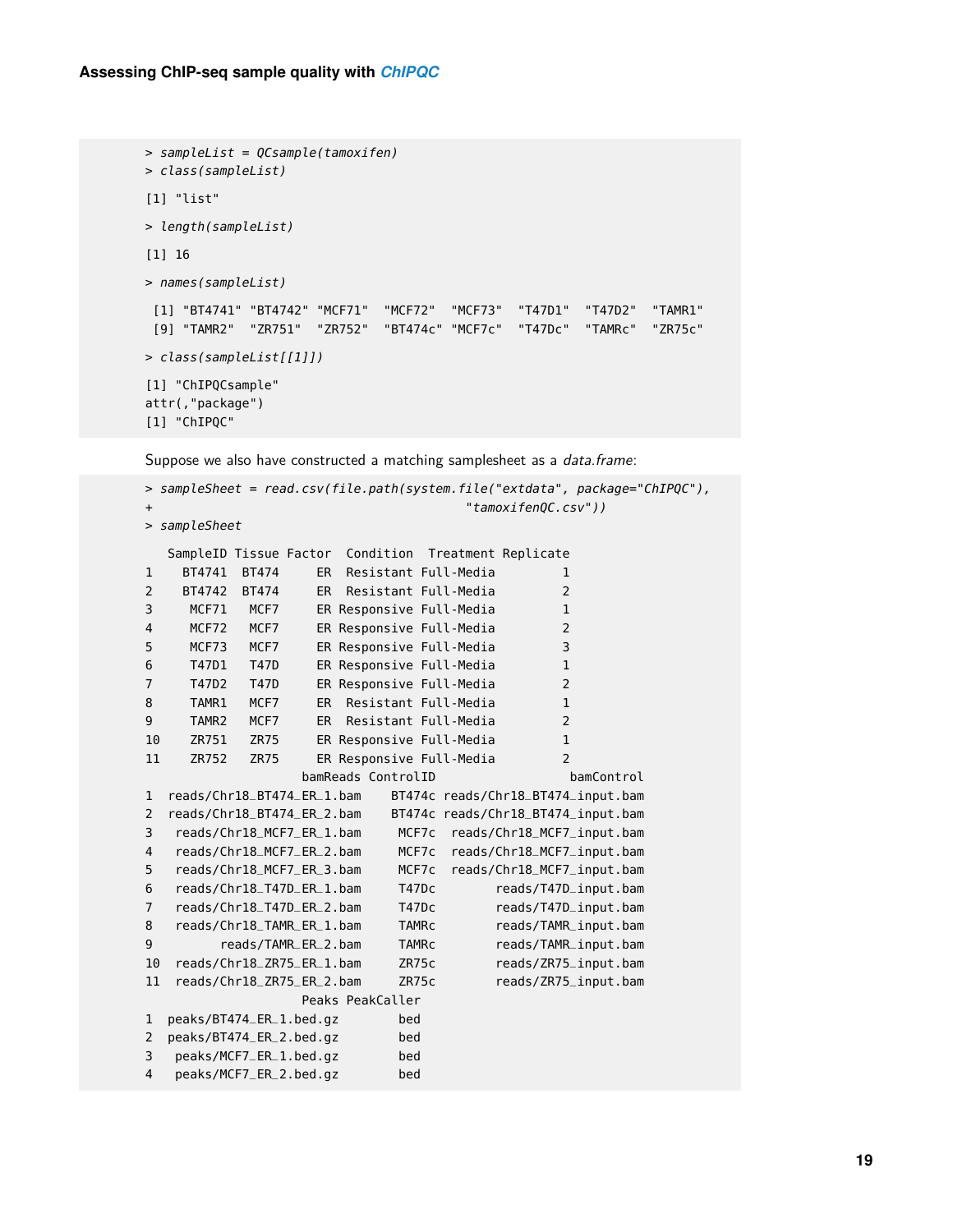```
> sampleList = QCsample(tamoxifen)
> class(sampleList)
[1] "list"
> length(sampleList)
[1] 16
> names(sampleList)
 [1] "BT4741" "BT4742" "MCF71" "MCF72" "MCF73" "T47D1" "T47D2" "TAMR1"
 [9] "TAMR2" "ZR751" "ZR752" "BT474c" "MCF7c" "T47Dc" "TAMRc" "ZR75c"
> class(sampleList[[1]])
[1] "ChIPQCsample"
attr(,"package")
[1] "ChIPQC"
```
Suppose we also have constructed a matching samplesheet as a *data.frame*:

```
> sampleSheet = read.csv(file.path(system.file("extdata", package="ChIPQC"),
+ "tamoxifenQC.csv"))
> sampleSheet
  SampleID Tissue Factor Condition Treatment Replicate
1 BT4741 BT474 ER Resistant Full-Media 1
2 BT4742 BT474 ER Resistant Full-Media 2
3 MCF71 MCF7 ER Responsive Full-Media 1
4 MCF72 MCF7 ER Responsive Full-Media 2
5 MCF73 MCF7 ER Responsive Full-Media 3
6 T47D1 T47D ER Responsive Full-Media 1
7 T47D2 T47D ER Responsive Full-Media 2
8 TAMR1 MCF7 ER Resistant Full-Media 1
9 TAMR2 MCF7 ER Resistant Full-Media 2
10 ZR751 ZR75 ER Responsive Full-Media 1
11 ZR752 ZR75 ER Responsive Full-Media 2
                bamReads ControlID bamControl
1 reads/Chr18_BT474_ER_1.bam BT474c reads/Chr18_BT474_input.bam
2 reads/Chr18_BT474_ER_2.bam BT474c reads/Chr18_BT474_input.bam
3 reads/Chr18_MCF7_ER_1.bam MCF7c reads/Chr18_MCF7_input.bam
4 reads/Chr18_MCF7_ER_2.bam MCF7c reads/Chr18_MCF7_input.bam
5 reads/Chr18_MCF7_ER_3.bam MCF7c reads/Chr18_MCF7_input.bam
6 reads/Chr18_T47D_ER_1.bam T47Dc reads/T47D_input.bam
7 reads/Chr18_T47D_ER_2.bam T47Dc reads/T47D_input.bam
8 reads/Chr18_TAMR_ER_1.bam TAMRc reads/TAMR_input.bam
9 reads/TAMR_ER_2.bam TAMRc reads/TAMR_input.bam
10 reads/Chr18_ZR75_ER_1.bam ZR75c reads/ZR75_input.bam
11 reads/Chr18_ZR75_ER_2.bam ZR75c reads/ZR75_input.bam
                Peaks PeakCaller
1 peaks/BT474_ER_1.bed.gz bed
2 peaks/BT474_ER_2.bed.gz bed
3 peaks/MCF7_ER_1.bed.gz bed
4 peaks/MCF7_ER_2.bed.gz bed
```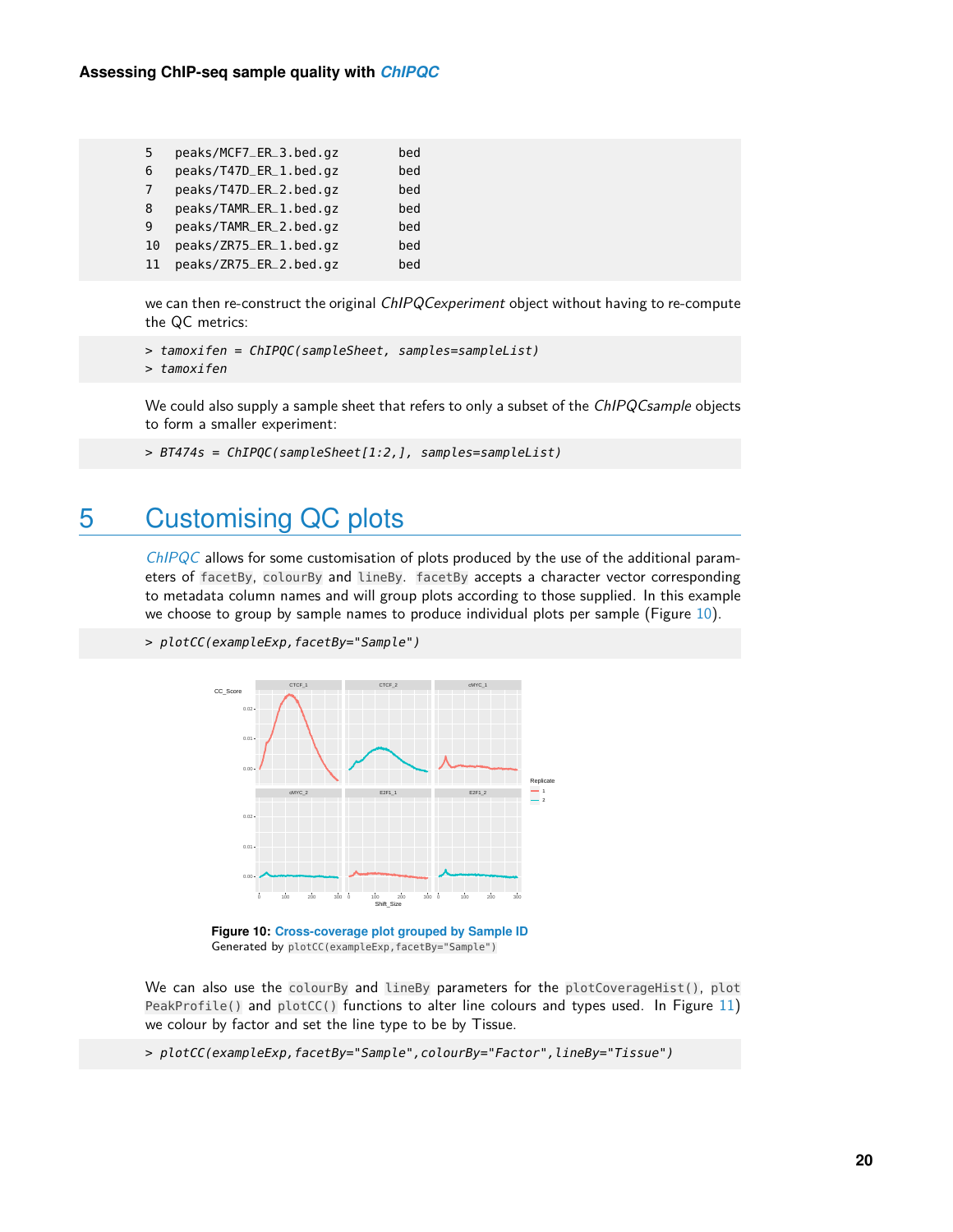| .5 | peaks/MCF7_ER_3.bed.gz | bed |
|----|------------------------|-----|
| 6  | peaks/T47D_ER_1.bed.gz | bed |
| 7  | peaks/T47D_ER_2.bed.gz | bed |
| 8  | peaks/TAMR_ER_1.bed.gz | bed |
| 9  | peaks/TAMR_ER_2.bed.gz | bed |
| 10 | peaks/ZR75_ER_1.bed.gz | bed |
| 11 | peaks/ZR75_ER_2.bed.gz | bed |

we can then re-construct the original ChIPQCexperiment object without having to re-compute the QC metrics:

```
> tamoxifen = ChIPQC(sampleSheet, samples=sampleList)
> tamoxifen
```
We could also supply a sample sheet that refers to only a subset of the ChIPQCsample objects to form a smaller experiment:

```
> BT474s = ChIPQC(sampleSheet[1:2,], samples=sampleList)
```
## 5 Customising QC plots

[ChIPQC](http://bioconductor.org/packages/ChIPQC) allows for some customisation of plots produced by the use of the additional parameters of facetBy, colourBy and lineBy. facetBy accepts a character vector corresponding to metadata column names and will group plots according to those supplied. In this example we choose to group by sample names to produce individual plots per sample (Figure [10\)](#page-19-1).

```
> plotCC(exampleExp,facetBy="Sample")
```


**Figure 10: Cross-coverage plot grouped by Sample ID** Generated by plotCC(exampleExp,facetBy="Sample")

We can also use the colourBy and lineBy parameters for the plotCoverageHist(), plot PeakProfile() and  $plotCC()$  functions to alter line colours and types used. In Figure [11\)](#page-20-1) we colour by factor and set the line type to be by Tissue.

> plotCC(exampleExp,facetBy="Sample",colourBy="Factor",lineBy="Tissue")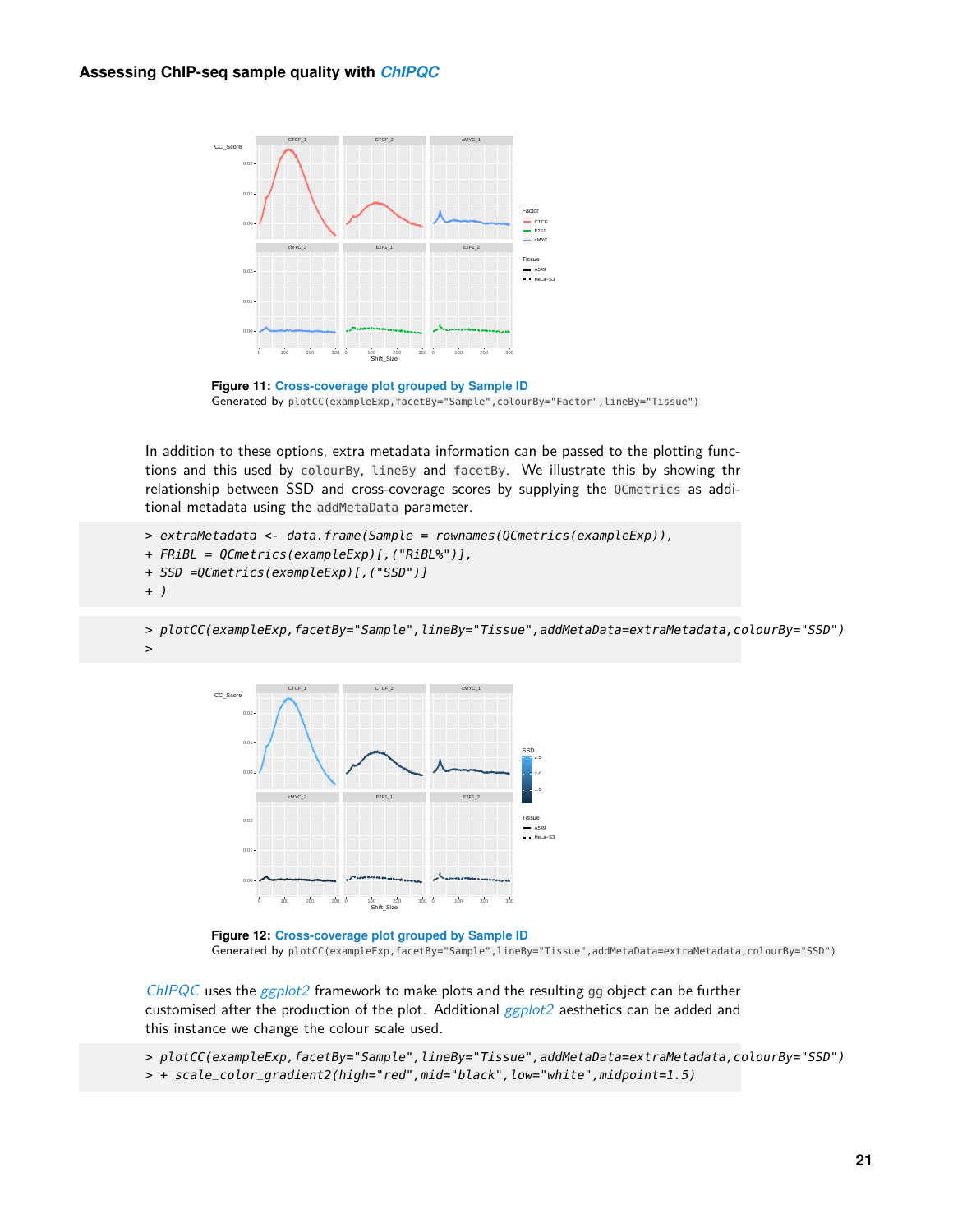<span id="page-20-1"></span>

**Figure 11: Cross-coverage plot grouped by Sample ID** Generated by plotCC(exampleExp,facetBy="Sample",colourBy="Factor",lineBy="Tissue")

In addition to these options, extra metadata information can be passed to the plotting functions and this used by colourBy, lineBy and facetBy. We illustrate this by showing thr relationship between SSD and cross-coverage scores by supplying the QCmetrics as additional metadata using the addMetaData parameter.

```
> extraMetadata <- data.frame(Sample = rownames(QCmetrics(exampleExp)),
+ FRiBL = QCmetrics(exampleExp)[,("RiBL%")],
+ SSD =QCmetrics(exampleExp)[,("SSD")]
+ )
```
> plotCC(exampleExp,facetBy="Sample",lineBy="Tissue",addMetaData=extraMetadata,colourBy="SSD") >



**Figure 12: Cross-coverage plot grouped by Sample ID** Generated by plotCC(exampleExp,facetBy="Sample",lineBy="Tissue",addMetaData=extraMetadata,colourBy="SSD")

 $ChIPQC$  uses the  $ggplot2$  framework to make plots and the resulting gg object can be further customised after the production of the plot. Additional *[ggplot2](http://bioconductor.org/packages/ggplot2)* aesthetics can be added and this instance we change the colour scale used.

<span id="page-20-0"></span>> plotCC(exampleExp,facetBy="Sample",lineBy="Tissue",addMetaData=extraMetadata,colourBy="SSD") > + scale\_color\_gradient2(high="red",mid="black",low="white",midpoint=1.5)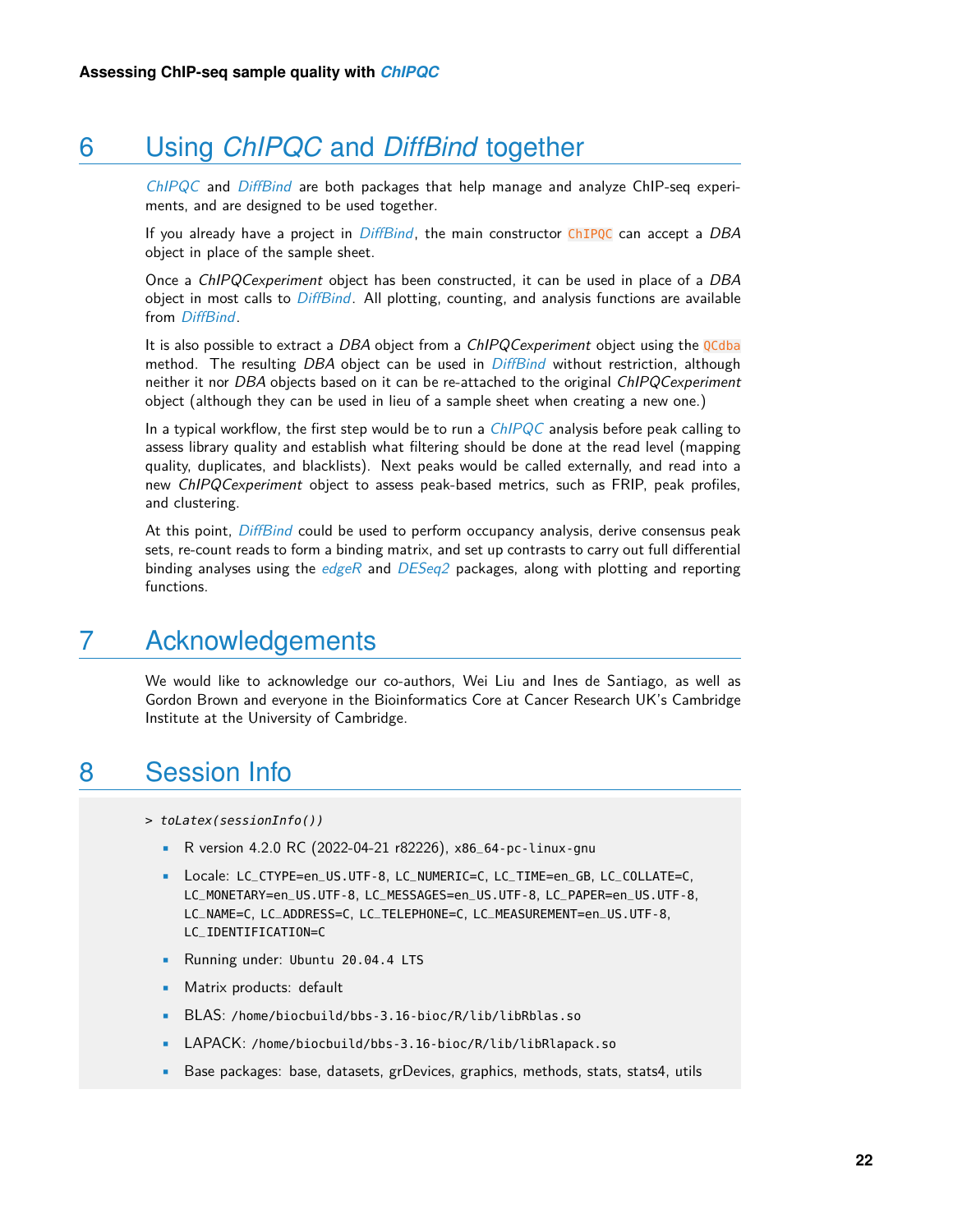# 6 Using *[ChIPQC](http://bioconductor.org/packages/ChIPQC)* and *[DiffBind](http://bioconductor.org/packages/DiffBind)* together

[ChIPQC](http://bioconductor.org/packages/ChIPQC) and [DiffBind](http://bioconductor.org/packages/DiffBind) are both packages that help manage and analyze ChIP-seq experiments, and are designed to be used together.

If you already have a project in  $Diffbind$ , the main constructor ChIPQC can accept a DBA object in place of the sample sheet.

Once a ChIPQCexperiment object has been constructed, it can be used in place of a DBA object in most calls to *[DiffBind](http://bioconductor.org/packages/DiffBind)*. All plotting, counting, and analysis functions are available from [DiffBind](http://bioconductor.org/packages/DiffBind).

It is also possible to extract a DBA object from a ChIPQCexperiment object using the QCdba method. The resulting DBA object can be used in  $DiffBind$  without restriction, although neither it nor DBA objects based on it can be re-attached to the original ChIPQCexperiment object (although they can be used in lieu of a sample sheet when creating a new one.)

In a typical workflow, the first step would be to run a  $ChIPQC$  analysis before peak calling to assess library quality and establish what filtering should be done at the read level (mapping quality, duplicates, and blacklists). Next peaks would be called externally, and read into a new ChIPQCexperiment object to assess peak-based metrics, such as FRIP, peak profiles, and clustering.

<span id="page-21-0"></span>At this point, [DiffBind](http://bioconductor.org/packages/DiffBind) could be used to perform occupancy analysis, derive consensus peak sets, re-count reads to form a binding matrix, and set up contrasts to carry out full differential binding analyses using the  $edge$  and  $DESeq2$  packages, along with plotting and reporting functions.

## 7 Acknowledgements

<span id="page-21-1"></span>We would like to acknowledge our co-authors, Wei Liu and Ines de Santiago, as well as Gordon Brown and everyone in the Bioinformatics Core at Cancer Research UK's Cambridge Institute at the University of Cambridge.

## 8 Session Info

- > toLatex(sessionInfo())
	- R version 4.2.0 RC (2022-04-21 r82226), x86\_64-pc-linux-gnu
	- Locale: LC\_CTYPE=en\_US.UTF-8, LC\_NUMERIC=C, LC\_TIME=en\_GB, LC\_COLLATE=C, LC\_MONETARY=en\_US.UTF-8, LC\_MESSAGES=en\_US.UTF-8, LC\_PAPER=en\_US.UTF-8, LC\_NAME=C, LC\_ADDRESS=C, LC\_TELEPHONE=C, LC\_MEASUREMENT=en\_US.UTF-8, LC\_IDENTIFICATION=C
	- Running under: Ubuntu 20.04.4 LTS
	- Matrix products: default
	- BLAS: /home/biocbuild/bbs-3.16-bioc/R/lib/libRblas.so
	- LAPACK: /home/biocbuild/bbs-3.16-bioc/R/lib/libRlapack.so
	- Base packages: base, datasets, grDevices, graphics, methods, stats, stats4, utils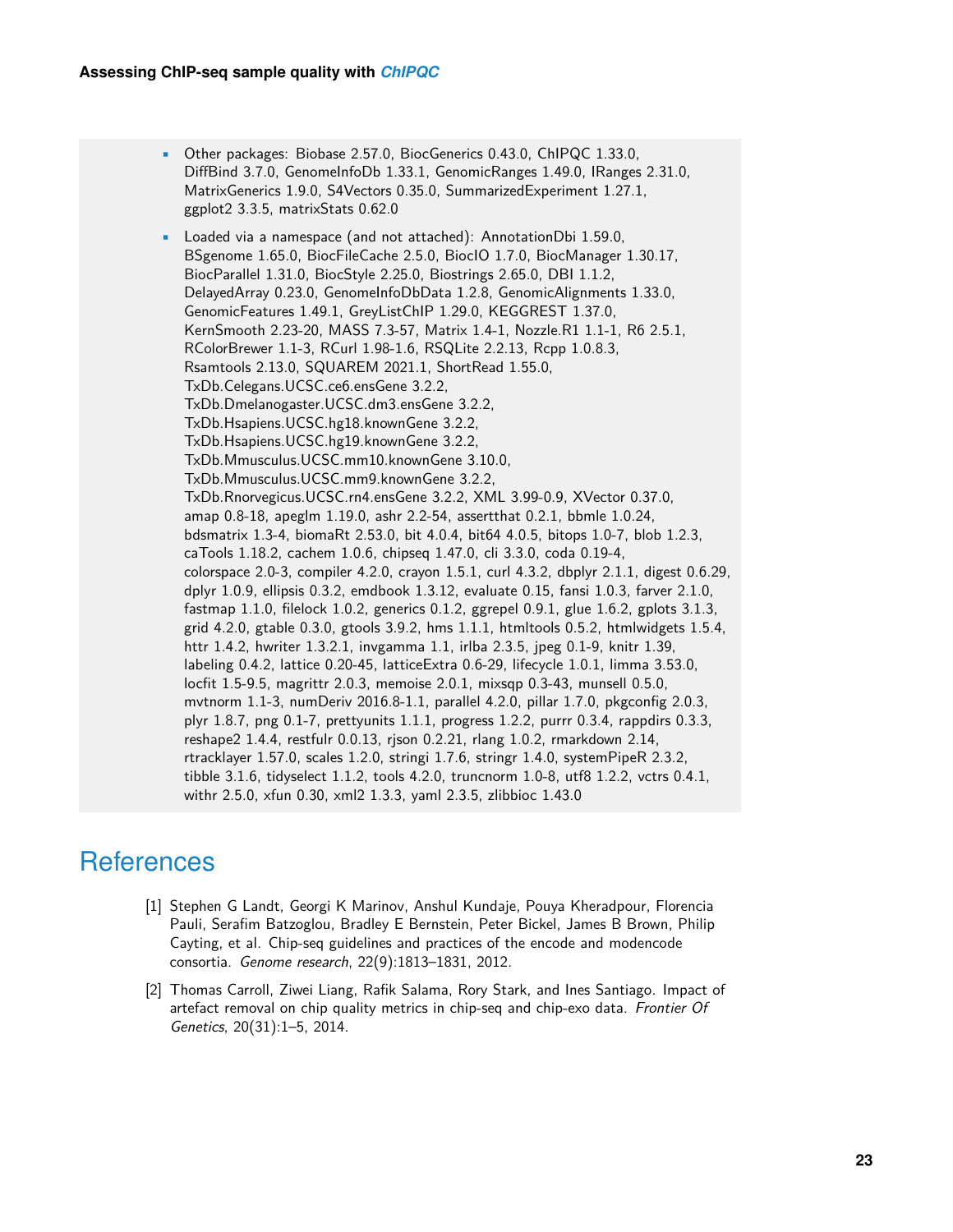• Other packages: Biobase 2.57.0, BiocGenerics 0.43.0, ChIPQC 1.33.0, DiffBind 3.7.0, GenomeInfoDb 1.33.1, GenomicRanges 1.49.0, IRanges 2.31.0, MatrixGenerics 1.9.0, S4Vectors 0.35.0, SummarizedExperiment 1.27.1, ggplot2 3.3.5, matrixStats 0.62.0

• Loaded via a namespace (and not attached): AnnotationDbi 1.59.0, BSgenome 1.65.0, BiocFileCache 2.5.0, BiocIO 1.7.0, BiocManager 1.30.17, BiocParallel 1.31.0, BiocStyle 2.25.0, Biostrings 2.65.0, DBI 1.1.2, DelayedArray 0.23.0, GenomeInfoDbData 1.2.8, GenomicAlignments 1.33.0, GenomicFeatures 1.49.1, GreyListChIP 1.29.0, KEGGREST 1.37.0, KernSmooth 2.23-20, MASS 7.3-57, Matrix 1.4-1, Nozzle.R1 1.1-1, R6 2.5.1, RColorBrewer 1.1-3, RCurl 1.98-1.6, RSQLite 2.2.13, Rcpp 1.0.8.3, Rsamtools 2.13.0, SQUAREM 2021.1, ShortRead 1.55.0, TxDb.Celegans.UCSC.ce6.ensGene 3.2.2, TxDb.Dmelanogaster.UCSC.dm3.ensGene 3.2.2, TxDb.Hsapiens.UCSC.hg18.knownGene 3.2.2, TxDb.Hsapiens.UCSC.hg19.knownGene 3.2.2, TxDb.Mmusculus.UCSC.mm10.knownGene 3.10.0, TxDb.Mmusculus.UCSC.mm9.knownGene 3.2.2, TxDb.Rnorvegicus.UCSC.rn4.ensGene 3.2.2, XML 3.99-0.9, XVector 0.37.0, amap 0.8-18, apeglm 1.19.0, ashr 2.2-54, assertthat 0.2.1, bbmle 1.0.24, bdsmatrix 1.3-4, biomaRt 2.53.0, bit 4.0.4, bit64 4.0.5, bitops 1.0-7, blob 1.2.3, caTools 1.18.2, cachem 1.0.6, chipseq 1.47.0, cli 3.3.0, coda 0.19-4, colorspace 2.0-3, compiler 4.2.0, crayon 1.5.1, curl 4.3.2, dbplyr 2.1.1, digest 0.6.29, dplyr 1.0.9, ellipsis 0.3.2, emdbook 1.3.12, evaluate 0.15, fansi 1.0.3, farver 2.1.0, fastmap 1.1.0, filelock 1.0.2, generics 0.1.2, ggrepel 0.9.1, glue 1.6.2, gplots 3.1.3, grid 4.2.0, gtable 0.3.0, gtools 3.9.2, hms 1.1.1, htmltools 0.5.2, htmlwidgets 1.5.4, httr 1.4.2, hwriter 1.3.2.1, invgamma 1.1, irlba 2.3.5, jpeg 0.1-9, knitr 1.39, labeling 0.4.2, lattice 0.20-45, latticeExtra 0.6-29, lifecycle 1.0.1, limma 3.53.0, locfit 1.5-9.5, magrittr 2.0.3, memoise 2.0.1, mixsqp 0.3-43, munsell 0.5.0, mvtnorm 1.1-3, numDeriv 2016.8-1.1, parallel 4.2.0, pillar 1.7.0, pkgconfig 2.0.3, plyr 1.8.7, png 0.1-7, prettyunits 1.1.1, progress 1.2.2, purrr 0.3.4, rappdirs 0.3.3, reshape2 1.4.4, restfulr 0.0.13, rjson 0.2.21, rlang 1.0.2, rmarkdown 2.14, rtracklayer 1.57.0, scales 1.2.0, stringi 1.7.6, stringr 1.4.0, systemPipeR 2.3.2, tibble 3.1.6, tidyselect 1.1.2, tools 4.2.0, truncnorm 1.0-8, utf8 1.2.2, vctrs 0.4.1, withr 2.5.0, xfun 0.30, xml2 1.3.3, yaml 2.3.5, zlibbioc 1.43.0

## **References**

- <span id="page-22-0"></span>[1] Stephen G Landt, Georgi K Marinov, Anshul Kundaje, Pouya Kheradpour, Florencia Pauli, Serafim Batzoglou, Bradley E Bernstein, Peter Bickel, James B Brown, Philip Cayting, et al. Chip-seq guidelines and practices of the encode and modencode consortia. Genome research, 22(9):1813–1831, 2012.
- <span id="page-22-1"></span>[2] Thomas Carroll, Ziwei Liang, Rafik Salama, Rory Stark, and Ines Santiago. Impact of artefact removal on chip quality metrics in chip-seq and chip-exo data. Frontier Of Genetics, 20(31):1–5, 2014.